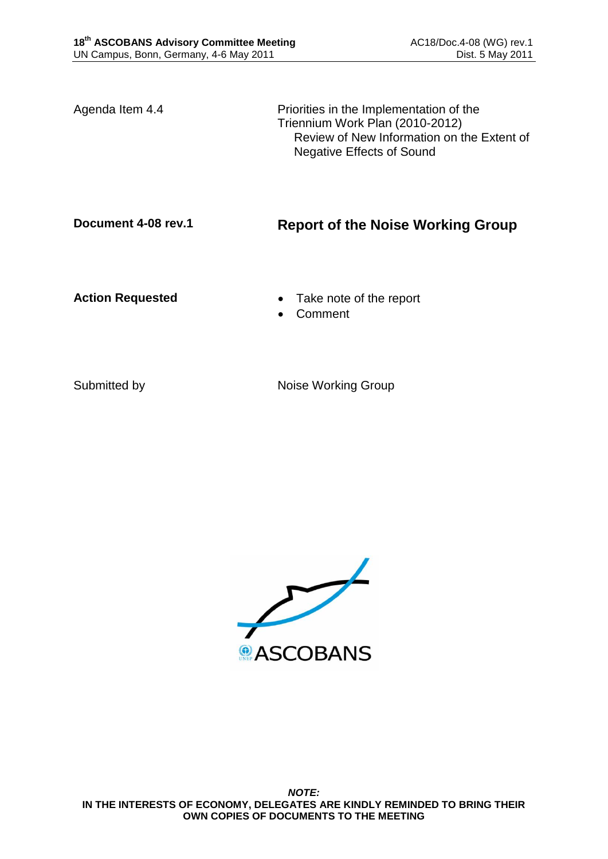<span id="page-0-1"></span><span id="page-0-0"></span>Agenda Item 4.4 Priorities in the Implementation of the Triennium Work Plan (2010-2012) Review of New Information on the Extent of Negative Effects of Sound

### **Document 4-08 rev.1 Report of the Noise Working Group**

- **Action Requested Take note of the report** 
	- Comment

Submitted by Noise Working Group

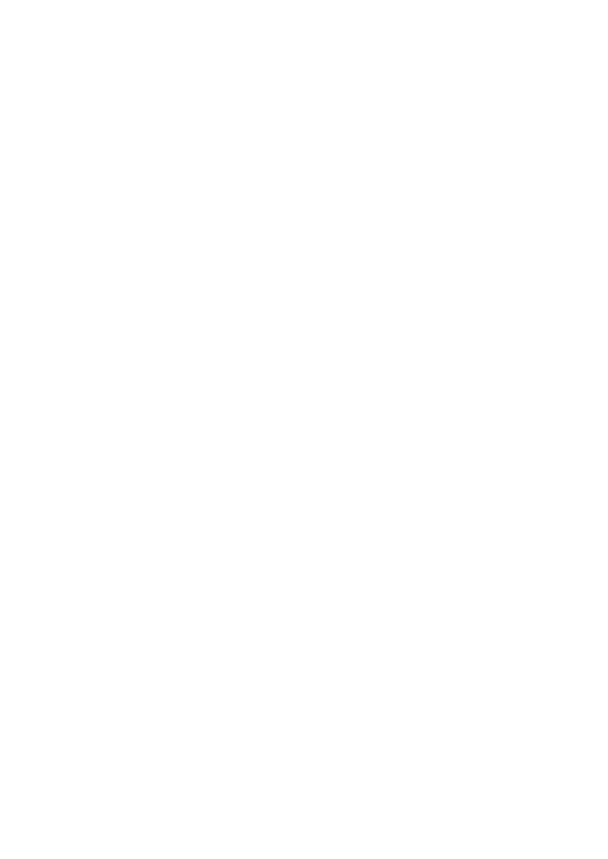<span id="page-1-1"></span><span id="page-1-0"></span>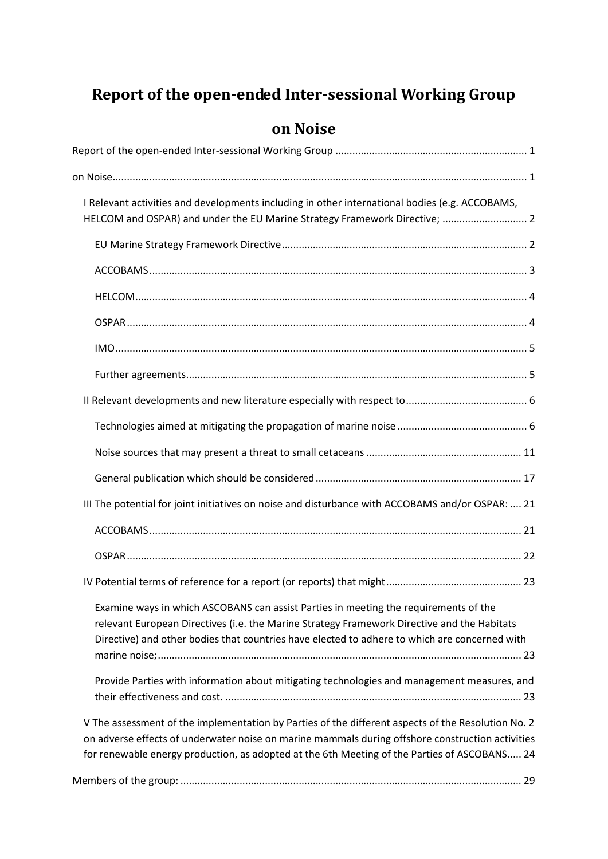# **Report of the open-ended Inter-sessional Working Group**

## **on Noise**

<span id="page-2-0"></span>

| I Relevant activities and developments including in other international bodies (e.g. ACCOBAMS,<br>HELCOM and OSPAR) and under the EU Marine Strategy Framework Directive;  2                                                                                                                           |  |
|--------------------------------------------------------------------------------------------------------------------------------------------------------------------------------------------------------------------------------------------------------------------------------------------------------|--|
|                                                                                                                                                                                                                                                                                                        |  |
|                                                                                                                                                                                                                                                                                                        |  |
|                                                                                                                                                                                                                                                                                                        |  |
|                                                                                                                                                                                                                                                                                                        |  |
|                                                                                                                                                                                                                                                                                                        |  |
|                                                                                                                                                                                                                                                                                                        |  |
|                                                                                                                                                                                                                                                                                                        |  |
|                                                                                                                                                                                                                                                                                                        |  |
|                                                                                                                                                                                                                                                                                                        |  |
|                                                                                                                                                                                                                                                                                                        |  |
| III The potential for joint initiatives on noise and disturbance with ACCOBAMS and/or OSPAR:  21                                                                                                                                                                                                       |  |
|                                                                                                                                                                                                                                                                                                        |  |
|                                                                                                                                                                                                                                                                                                        |  |
|                                                                                                                                                                                                                                                                                                        |  |
| Examine ways in which ASCOBANS can assist Parties in meeting the requirements of the<br>relevant European Directives (i.e. the Marine Strategy Framework Directive and the Habitats<br>Directive) and other bodies that countries have elected to adhere to which are concerned with                   |  |
| Provide Parties with information about mitigating technologies and management measures, and                                                                                                                                                                                                            |  |
| V The assessment of the implementation by Parties of the different aspects of the Resolution No. 2<br>on adverse effects of underwater noise on marine mammals during offshore construction activities<br>for renewable energy production, as adopted at the 6th Meeting of the Parties of ASCOBANS 24 |  |
|                                                                                                                                                                                                                                                                                                        |  |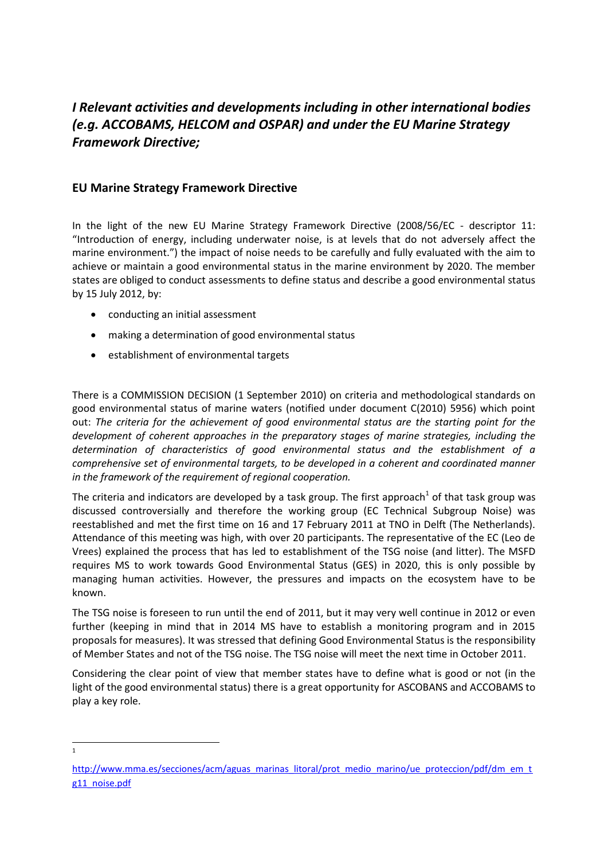## *I Relevant activities and developments including in other international bodies (e.g. ACCOBAMS, HELCOM and OSPAR) and under the EU Marine Strategy Framework Directive;*

### **EU Marine Strategy Framework Directive**

<span id="page-3-0"></span>In the light of the new EU Marine Strategy Framework Directive (2008/56/EC - descriptor 11: "Introduction of energy, including underwater noise, is at levels that do not adversely affect the marine environment.") the impact of noise needs to be carefully and fully evaluated with the aim to achieve or maintain a good environmental status in the marine environment by 2020. The member states are obliged to conduct assessments to define status and describe a good environmental status by 15 July 2012, by:

- conducting an initial assessment
- making a determination of good environmental status
- establishment of environmental targets

There is a COMMISSION DECISION (1 September 2010) on criteria and methodological standards on good environmental status of marine waters (notified under document C(2010) 5956) which point out: *The criteria for the achievement of good environmental status are the starting point for the development of coherent approaches in the preparatory stages of marine strategies, including the determination of characteristics of good environmental status and the establishment of a comprehensive set of environmental targets, to be developed in a coherent and coordinated manner in the framework of the requirement of regional cooperation.*

The criteria and indicators are developed by a task group. The first approach<sup>1</sup> of that task group was discussed controversially and therefore the working group (EC Technical Subgroup Noise) was reestablished and met the first time on 16 and 17 February 2011 at TNO in Delft (The Netherlands). Attendance of this meeting was high, with over 20 participants. The representative of the EC (Leo de Vrees) explained the process that has led to establishment of the TSG noise (and litter). The MSFD requires MS to work towards Good Environmental Status (GES) in 2020, this is only possible by managing human activities. However, the pressures and impacts on the ecosystem have to be known.

<span id="page-3-1"></span>The TSG noise is foreseen to run until the end of 2011, but it may very well continue in 2012 or even further (keeping in mind that in 2014 MS have to establish a monitoring program and in 2015 proposals for measures). It was stressed that defining Good Environmental Status is the responsibility of Member States and not of the TSG noise. The TSG noise will meet the next time in October 2011.

Considering the clear point of view that member states have to define what is good or not (in the light of the good environmental status) there is a great opportunity for ASCOBANS and ACCOBAMS to play a key role.

1 1

[http://www.mma.es/secciones/acm/aguas\\_marinas\\_litoral/prot\\_medio\\_marino/ue\\_proteccion/pdf/dm\\_em\\_t](http://www.mma.es/secciones/acm/aguas_marinas_litoral/prot_medio_marino/ue_proteccion/pdf/dm_em_tg11_noise.pdf) [g11\\_noise.pdf](http://www.mma.es/secciones/acm/aguas_marinas_litoral/prot_medio_marino/ue_proteccion/pdf/dm_em_tg11_noise.pdf)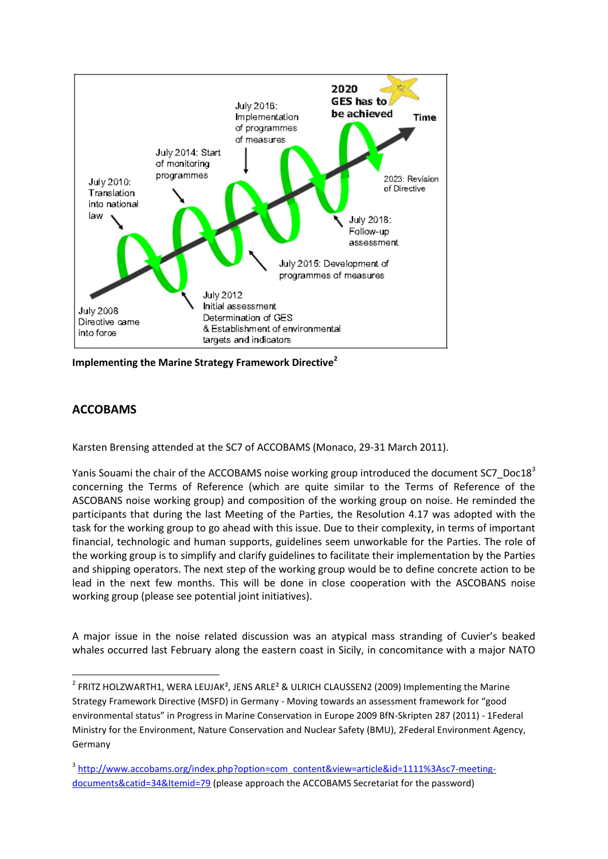

<span id="page-4-0"></span>**Implementing the Marine Strategy Framework Directive<sup>2</sup>**

### **ACCOBAMS**

**.** 

Karsten Brensing attended at the SC7 of ACCOBAMS (Monaco, 29-31 March 2011).

Yanis Souami the chair of the ACCOBAMS noise working group introduced the document SC7 Doc18<sup>3</sup> concerning the Terms of Reference (which are quite similar to the Terms of Reference of the ASCOBANS noise working group) and composition of the working group on noise. He reminded the participants that during the last Meeting of the Parties, the Resolution 4.17 was adopted with the task for the working group to go ahead with this issue. Due to their complexity, in terms of important financial, technologic and human supports, guidelines seem unworkable for the Parties. The role of the working group is to simplify and clarify guidelines to facilitate their implementation by the Parties and shipping operators. The next step of the working group would be to define concrete action to be lead in the next few months. This will be done in close cooperation with the ASCOBANS noise working group (please see potential joint initiatives).

<span id="page-4-1"></span>A major issue in the noise related discussion was an atypical mass stranding of Cuvier's beaked whales occurred last February along the eastern coast in Sicily, in concomitance with a major NATO

 $^2$  FRITZ HOLZWARTH1, WERA LEUJAK<sup>2</sup>, JENS ARLE<sup>2</sup> & ULRICH CLAUSSEN2 (2009) Implementing the Marine Strategy Framework Directive (MSFD) in Germany - Moving towards an assessment framework for "good environmental status" in Progress in Marine Conservation in Europe 2009 BfN-Skripten 287 (2011) - 1Federal Ministry for the Environment, Nature Conservation and Nuclear Safety (BMU), 2Federal Environment Agency, Germany

<sup>&</sup>lt;sup>3</sup>[http://www.accobams.org/index.php?option=com\\_content&view=article&id=1111%3Asc7-meeting](http://www.accobams.org/index.php?option=com_content&view=article&id=1111%3Asc7-meeting-documents&catid=34&Itemid=79)[documents&catid=34&Itemid=79](http://www.accobams.org/index.php?option=com_content&view=article&id=1111%3Asc7-meeting-documents&catid=34&Itemid=79) (please approach the ACCOBAMS Secretariat for the password)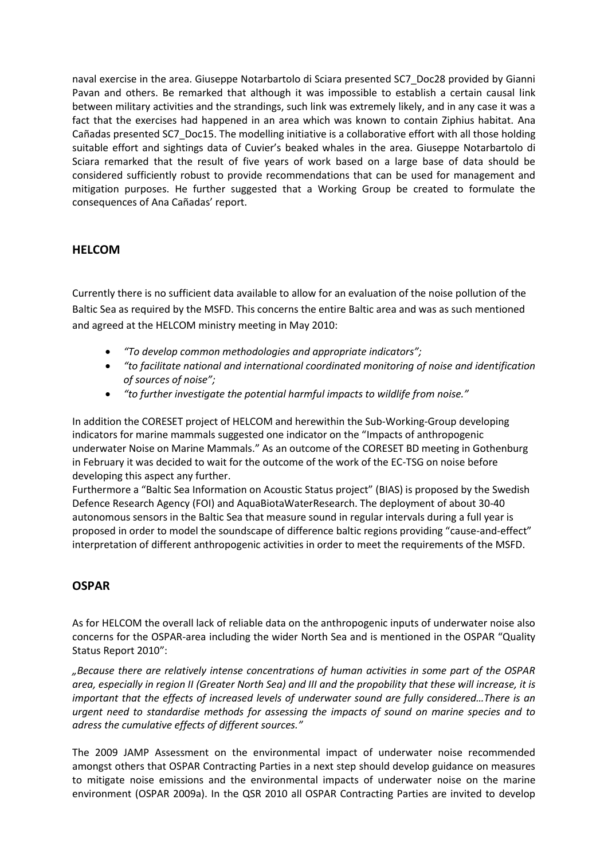<span id="page-5-0"></span>naval exercise in the area. Giuseppe Notarbartolo di Sciara presented SC7\_Doc28 provided by Gianni Pavan and others. Be remarked that although it was impossible to establish a certain causal link between military activities and the strandings, such link was extremely likely, and in any case it was a fact that the exercises had happened in an area which was known to contain Ziphius habitat. Ana Cañadas presented SC7\_Doc15. The modelling initiative is a collaborative effort with all those holding suitable effort and sightings data of Cuvier's beaked whales in the area. Giuseppe Notarbartolo di Sciara remarked that the result of five years of work based on a large base of data should be considered sufficiently robust to provide recommendations that can be used for management and mitigation purposes. He further suggested that a Working Group be created to formulate the consequences of Ana Cañadas' report.

### <span id="page-5-1"></span>**HELCOM**

Currently there is no sufficient data available to allow for an evaluation of the noise pollution of the Baltic Sea as required by the MSFD. This concerns the entire Baltic area and was as such mentioned and agreed at the HELCOM ministry meeting in May 2010:

- *"To develop common methodologies and appropriate indicators";*
- *"to facilitate national and international coordinated monitoring of noise and identification of sources of noise";*
- *"to further investigate the potential harmful impacts to wildlife from noise."*

In addition the CORESET project of HELCOM and herewithin the Sub-Working-Group developing indicators for marine mammals suggested one indicator on the "Impacts of anthropogenic underwater Noise on Marine Mammals." As an outcome of the CORESET BD meeting in Gothenburg in February it was decided to wait for the outcome of the work of the EC-TSG on noise before developing this aspect any further.

Furthermore a "Baltic Sea Information on Acoustic Status project" (BIAS) is proposed by the Swedish Defence Research Agency (FOI) and AquaBiotaWaterResearch. The deployment of about 30-40 autonomous sensors in the Baltic Sea that measure sound in regular intervals during a full year is proposed in order to model the soundscape of difference baltic regions providing "cause-and-effect" interpretation of different anthropogenic activities in order to meet the requirements of the MSFD.

### **OSPAR**

As for HELCOM the overall lack of reliable data on the anthropogenic inputs of underwater noise also concerns for the OSPAR-area including the wider North Sea and is mentioned in the OSPAR "Quality Status Report 2010":

*"Because there are relatively intense concentrations of human activities in some part of the OSPAR area, especially in region II (Greater North Sea) and III and the propobility that these will increase, it is important that the effects of increased levels of underwater sound are fully considered…There is an urgent need to standardise methods for assessing the impacts of sound on marine species and to adress the cumulative effects of different sources."*

The 2009 JAMP Assessment on the environmental impact of underwater noise recommended amongst others that OSPAR Contracting Parties in a next step should develop guidance on measures to mitigate noise emissions and the environmental impacts of underwater noise on the marine environment (OSPAR 2009a). In the QSR 2010 all OSPAR Contracting Parties are invited to develop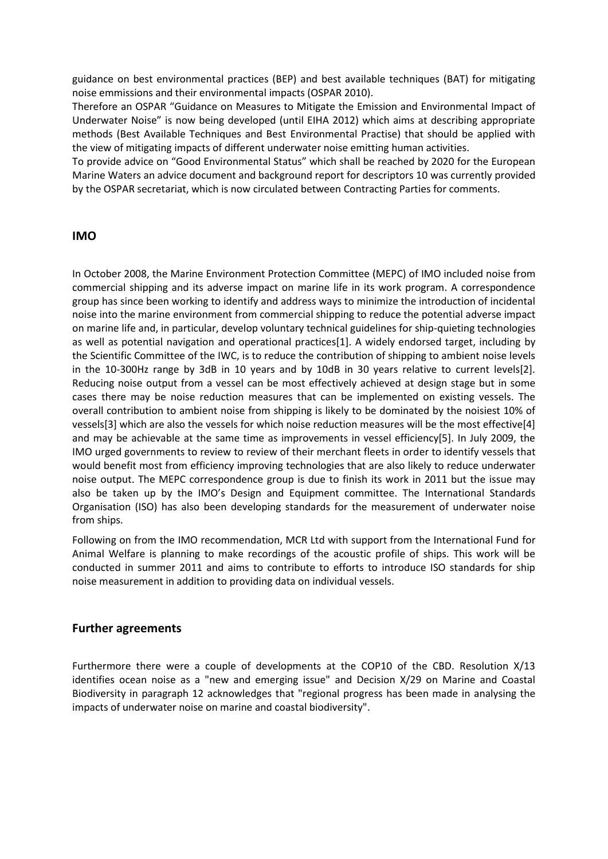guidance on best environmental practices (BEP) and best available techniques (BAT) for mitigating noise emmissions and their environmental impacts (OSPAR 2010).

Therefore an OSPAR "Guidance on Measures to Mitigate the Emission and Environmental Impact of Underwater Noise" is now being developed (until EIHA 2012) which aims at describing appropriate methods (Best Available Techniques and Best Environmental Practise) that should be applied with the view of mitigating impacts of different underwater noise emitting human activities.

To provide advice on "Good Environmental Status" which shall be reached by 2020 for the European Marine Waters an advice document and background report for descriptors 10 was currently provided by the OSPAR secretariat, which is now circulated between Contracting Parties for comments.

### **IMO**

In October 2008, the Marine Environment Protection Committee (MEPC) of IMO included noise from commercial shipping and its adverse impact on marine life in its work program. A correspondence group has since been working to identify and address ways to minimize the introduction of incidental noise into the marine environment from commercial shipping to reduce the potential adverse impact on marine life and, in particular, develop voluntary technical guidelines for ship-quieting technologies as well as potential navigation and operational practices[1]. A widely endorsed target, including by the Scientific Committee of the IWC, is to reduce the contribution of shipping to ambient noise levels in the 10-300Hz range by 3dB in 10 years and by 10dB in 30 years relative to current levels[2]. Reducing noise output from a vessel can be most effectively achieved at design stage but in some cases there may be noise reduction measures that can be implemented on existing vessels. The overall contribution to ambient noise from shipping is likely to be dominated by the noisiest 10% of vessels[3] which are also the vessels for which noise reduction measures will be the most effective[4] and may be achievable at the same time as improvements in vessel efficiency[5]. In July 2009, the IMO urged governments to review to review of their merchant fleets in order to identify vessels that would benefit most from efficiency improving technologies that are also likely to reduce underwater noise output. The MEPC correspondence group is due to finish its work in 2011 but the issue may also be taken up by the IMO's Design and Equipment committee. The International Standards Organisation (ISO) has also been developing standards for the measurement of underwater noise from ships.

Following on from the IMO recommendation, MCR Ltd with support from the International Fund for Animal Welfare is planning to make recordings of the acoustic profile of ships. This work will be conducted in summer 2011 and aims to contribute to efforts to introduce ISO standards for ship noise measurement in addition to providing data on individual vessels.

### **Further agreements**

Furthermore there were a couple of developments at the COP10 of the CBD. Resolution X/13 identifies ocean noise as a "new and emerging issue" and Decision X/29 on Marine and Coastal Biodiversity in paragraph 12 acknowledges that "regional progress has been made in analysing the impacts of underwater noise on marine and coastal biodiversity".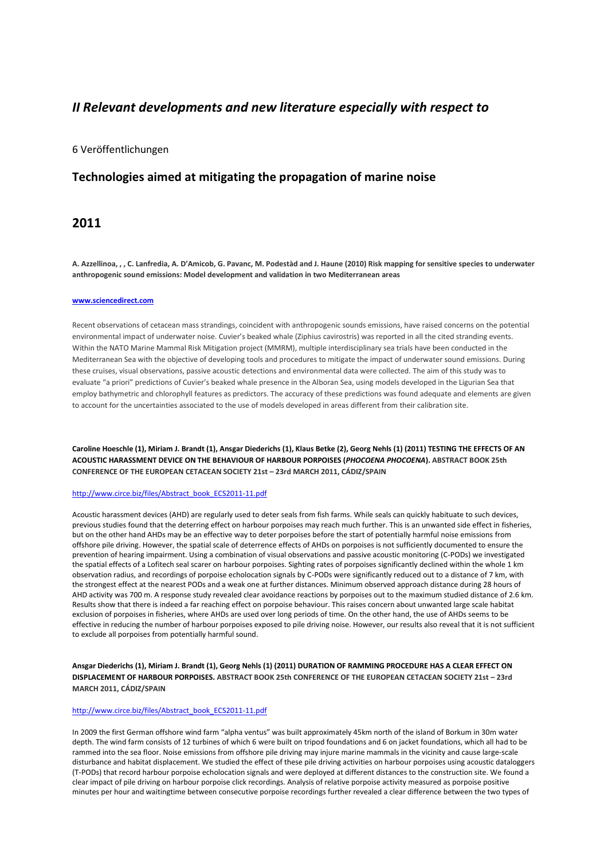### *II Relevant developments and new literature especially with respect to*

#### 6 Veröffentlichungen

### **Technologies aimed at mitigating the propagation of marine noise**

### **2011**

A. Azzellinoa, , , C. Lanfredia, A. D'Amicob, G. Pavanc, M. Podestàd and J. Haune (2010) Risk mapping for sensitive species to underwater **anthropogenic sound emissions: Model development and validation in two Mediterranean areas** 

#### **[www.sciencedirect.com](http://www.sciencedirect.com/)**

Recent observations of cetacean mass strandings, coincident with anthropogenic sounds emissions, have raised concerns on the potential environmental impact of underwater noise. Cuvier's beaked whale (Ziphius cavirostris) was reported in all the cited stranding events. Within the NATO Marine Mammal Risk Mitigation project (MMRM), multiple interdisciplinary sea trials have been conducted in the Mediterranean Sea with the objective of developing tools and procedures to mitigate the impact of underwater sound emissions. During these cruises, visual observations, passive acoustic detections and environmental data were collected. The aim of this study was to evaluate "a priori" predictions of Cuvier's beaked whale presence in the Alboran Sea, using models developed in the Ligurian Sea that employ bathymetric and chlorophyll features as predictors. The accuracy of these predictions was found adequate and elements are given to account for the uncertainties associated to the use of models developed in areas different from their calibration site.

**Caroline Hoeschle (1), Miriam J. Brandt (1), Ansgar Diederichs (1), Klaus Betke (2), Georg Nehls (1) (2011) TESTING THE EFFECTS OF AN ACOUSTIC HARASSMENT DEVICE ON THE BEHAVIOUR OF HARBOUR PORPOISES (***PHOCOENA PHOCOENA***). ABSTRACT BOOK 25th CONFERENCE OF THE EUROPEAN CETACEAN SOCIETY 21st – 23rd MARCH 2011, CÁDIZ/SPAIN**

#### [http://www.circe.biz/files/Abstract\\_book\\_ECS2011-11.pdf](http://www.circe.biz/files/Abstract_book_ECS2011-11.pdf)

Acoustic harassment devices (AHD) are regularly used to deter seals from fish farms. While seals can quickly habituate to such devices, previous studies found that the deterring effect on harbour porpoises may reach much further. This is an unwanted side effect in fisheries, but on the other hand AHDs may be an effective way to deter porpoises before the start of potentially harmful noise emissions from offshore pile driving. However, the spatial scale of deterrence effects of AHDs on porpoises is not sufficiently documented to ensure the prevention of hearing impairment. Using a combination of visual observations and passive acoustic monitoring (C-PODs) we investigated the spatial effects of a Lofitech seal scarer on harbour porpoises. Sighting rates of porpoises significantly declined within the whole 1 km observation radius, and recordings of porpoise echolocation signals by C-PODs were significantly reduced out to a distance of 7 km, with the strongest effect at the nearest PODs and a weak one at further distances. Minimum observed approach distance during 28 hours of AHD activity was 700 m. A response study revealed clear avoidance reactions by porpoises out to the maximum studied distance of 2.6 km. Results show that there is indeed a far reaching effect on porpoise behaviour. This raises concern about unwanted large scale habitat exclusion of porpoises in fisheries, where AHDs are used over long periods of time. On the other hand, the use of AHDs seems to be effective in reducing the number of harbour porpoises exposed to pile driving noise. However, our results also reveal that it is not sufficient to exclude all porpoises from potentially harmful sound.

**Ansgar Diederichs (1), Miriam J. Brandt (1), Georg Nehls (1) (2011) DURATION OF RAMMING PROCEDURE HAS A CLEAR EFFECT ON DISPLACEMENT OF HARBOUR PORPOISES. ABSTRACT BOOK 25th CONFERENCE OF THE EUROPEAN CETACEAN SOCIETY 21st – 23rd MARCH 2011, CÁDIZ/SPAIN**

#### [http://www.circe.biz/files/Abstract\\_book\\_ECS2011-11.pdf](http://www.circe.biz/files/Abstract_book_ECS2011-11.pdf)

In 2009 the first German offshore wind farm "alpha ventus" was built approximately 45km north of the island of Borkum in 30m water depth. The wind farm consists of 12 turbines of which 6 were built on tripod foundations and 6 on jacket foundations, which all had to be rammed into the sea floor. Noise emissions from offshore pile driving may injure marine mammals in the vicinity and cause large-scale disturbance and habitat displacement. We studied the effect of these pile driving activities on harbour porpoises using acoustic dataloggers (T-PODs) that record harbour porpoise echolocation signals and were deployed at different distances to the construction site. We found a clear impact of pile driving on harbour porpoise click recordings. Analysis of relative porpoise activity measured as porpoise positive minutes per hour and waitingtime between consecutive porpoise recordings further revealed a clear difference between the two types of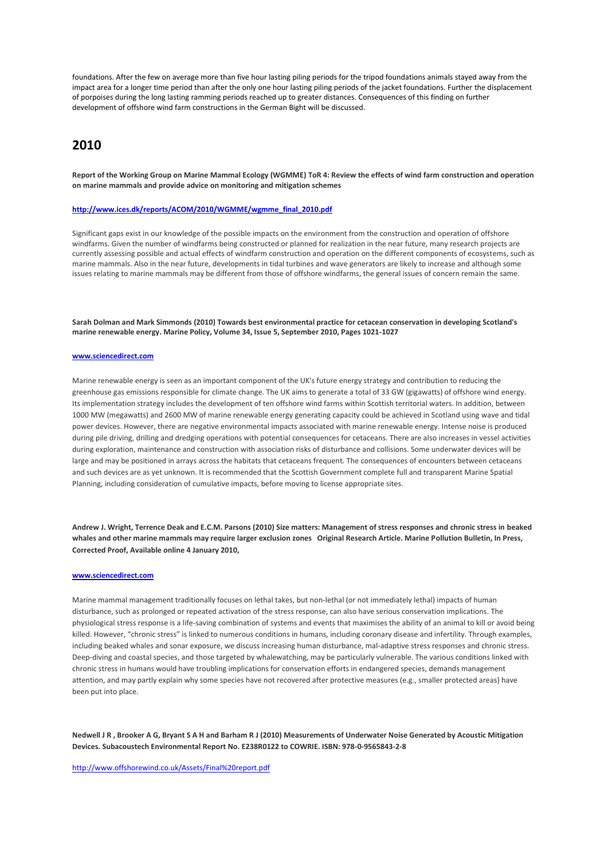foundations. After the few on average more than five hour lasting piling periods for the tripod foundations animals stayed away from the impact area for a longer time period than after the only one hour lasting piling periods of the jacket foundations. Further the displacement of porpoises during the long lasting ramming periods reached up to greater distances. Consequences of this finding on further development of offshore wind farm constructions in the German Bight will be discussed.

### **2010**

**Report of the Working Group on Marine Mammal Ecology (WGMME) ToR 4: Review the effects of wind farm construction and operation on marine mammals and provide advice on monitoring and mitigation schemes**

#### **[http://www.ices.dk/reports/ACOM/2010/WGMME/wgmme\\_final\\_2010.pdf](http://www.ices.dk/reports/ACOM/2010/WGMME/wgmme_final_2010.pdf)**

Significant gaps exist in our knowledge of the possible impacts on the environment from the construction and operation of offshore windfarms. Given the number of windfarms being constructed or planned for realization in the near future, many research projects are currently assessing possible and actual effects of windfarm construction and operation on the different components of ecosystems, such as marine mammals. Also in the near future, developments in tidal turbines and wave generators are likely to increase and although some issues relating to marine mammals may be different from those of offshore windfarms, the general issues of concern remain the same.

**Sarah Dolman and Mark Simmonds (2010) Towards best environmental practice for cetacean conservation in developing Scotland's marine renewable energy. Marine Policy, Volume 34, Issue 5, September 2010, Pages 1021-1027** 

#### **[www.sciencedirect.com](http://www.sciencedirect.com/)**

Marine renewable energy is seen as an important component of the UK's future energy strategy and contribution to reducing the greenhouse gas emissions responsible for climate change. The UK aims to generate a total of 33 GW (gigawatts) of offshore wind energy. Its implementation strategy includes the development of ten offshore wind farms within Scottish territorial waters. In addition, between 1000 MW (megawatts) and 2600 MW of marine renewable energy generating capacity could be achieved in Scotland using wave and tidal power devices. However, there are negative environmental impacts associated with marine renewable energy. Intense noise is produced during pile driving, drilling and dredging operations with potential consequences for cetaceans. There are also increases in vessel activities during exploration, maintenance and construction with association risks of disturbance and collisions. Some underwater devices will be large and may be positioned in arrays across the habitats that cetaceans frequent. The consequences of encounters between cetaceans and such devices are as yet unknown. It is recommended that the Scottish Government complete full and transparent Marine Spatial Planning, including consideration of cumulative impacts, before moving to license appropriate sites.

**Andrew J. Wright, Terrence Deak and E.C.M. Parsons (2010) Size matters: Management of stress responses and chronic stress in beaked whales and other marine mammals may require larger exclusion zones Original Research Article. Marine Pollution Bulletin, In Press, Corrected Proof, Available online 4 January 2010,** 

#### **[www.sciencedirect.com](http://www.sciencedirect.com/)**

Marine mammal management traditionally focuses on lethal takes, but non-lethal (or not immediately lethal) impacts of human disturbance, such as prolonged or repeated activation of the stress response, can also have serious conservation implications. The physiological stress response is a life-saving combination of systems and events that maximises the ability of an animal to kill or avoid being killed. However, "chronic stress" is linked to numerous conditions in humans, including coronary disease and infertility. Through examples, including beaked whales and sonar exposure, we discuss increasing human disturbance, mal-adaptive stress responses and chronic stress. Deep-diving and coastal species, and those targeted by whalewatching, may be particularly vulnerable. The various conditions linked with chronic stress in humans would have troubling implications for conservation efforts in endangered species, demands management attention, and may partly explain why some species have not recovered after protective measures (e.g., smaller protected areas) have been put into place.

**Nedwell J R , Brooker A G, Bryant S A H and Barham R J (2010) Measurements of Underwater Noise Generated by Acoustic Mitigation Devices. Subacoustech Environmental Report No. E238R0122 to COWRIE. ISBN: 978-0-9565843-2-8**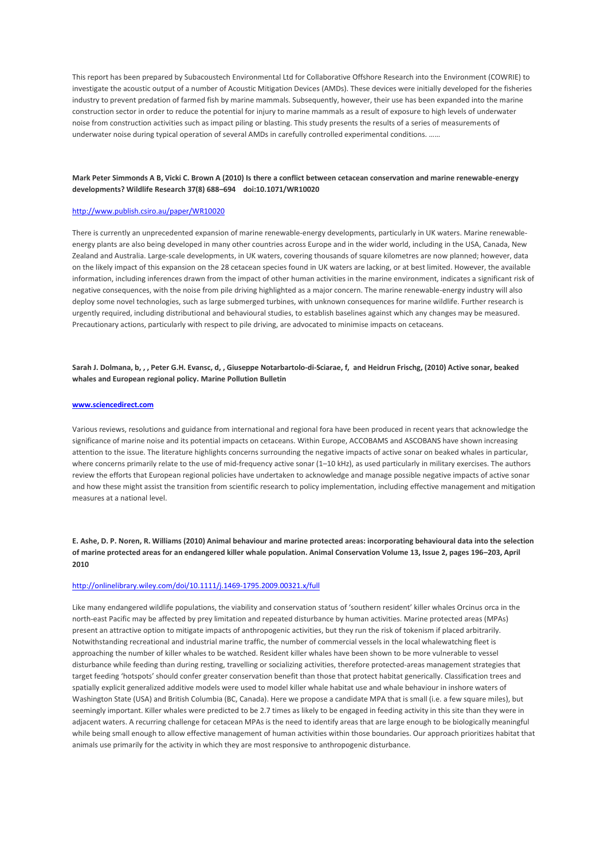This report has been prepared by Subacoustech Environmental Ltd for Collaborative Offshore Research into the Environment (COWRIE) to investigate the acoustic output of a number of Acoustic Mitigation Devices (AMDs). These devices were initially developed for the fisheries industry to prevent predation of farmed fish by marine mammals. Subsequently, however, their use has been expanded into the marine construction sector in order to reduce the potential for injury to marine mammals as a result of exposure to high levels of underwater noise from construction activities such as impact piling or blasting. This study presents the results of a series of measurements of underwater noise during typical operation of several AMDs in carefully controlled experimental conditions. ……

#### **Mark Peter Simmonds A B, Vicki C. Brown A (2010) Is there a conflict between cetacean conservation and marine renewable-energy developments? Wildlife Research 37(8) 688–694 doi:10.1071/WR10020**

#### <http://www.publish.csiro.au/paper/WR10020>

There is currently an unprecedented expansion of marine renewable-energy developments, particularly in UK waters. Marine renewableenergy plants are also being developed in many other countries across Europe and in the wider world, including in the USA, Canada, New Zealand and Australia. Large-scale developments, in UK waters, covering thousands of square kilometres are now planned; however, data on the likely impact of this expansion on the 28 cetacean species found in UK waters are lacking, or at best limited. However, the available information, including inferences drawn from the impact of other human activities in the marine environment, indicates a significant risk of negative consequences, with the noise from pile driving highlighted as a major concern. The marine renewable-energy industry will also deploy some novel technologies, such as large submerged turbines, with unknown consequences for marine wildlife. Further research is urgently required, including distributional and behavioural studies, to establish baselines against which any changes may be measured. Precautionary actions, particularly with respect to pile driving, are advocated to minimise impacts on cetaceans.

**Sarah J. Dolmana, b, , , Peter G.H. Evansc, d, , Giuseppe Notarbartolo-di-Sciarae, f, and Heidrun Frischg, (2010) Active sonar, beaked whales and European regional policy. Marine Pollution Bulletin**

#### **[www.sciencedirect.com](http://www.sciencedirect.com/)**

Various reviews, resolutions and guidance from international and regional fora have been produced in recent years that acknowledge the significance of marine noise and its potential impacts on cetaceans. Within Europe, ACCOBAMS and ASCOBANS have shown increasing attention to the issue. The literature highlights concerns surrounding the negative impacts of active sonar on beaked whales in particular, where concerns primarily relate to the use of mid-frequency active sonar (1–10 kHz), as used particularly in military exercises. The authors review the efforts that European regional policies have undertaken to acknowledge and manage possible negative impacts of active sonar and how these might assist the transition from scientific research to policy implementation, including effective management and mitigation measures at a national level.

**E. Ashe, D. P. Noren, R. Williams (2010) Animal behaviour and marine protected areas: incorporating behavioural data into the selection of marine protected areas for an endangered killer whale population. Animal Conservation Volume 13, Issue 2, pages 196–203, April 2010**

#### <http://onlinelibrary.wiley.com/doi/10.1111/j.1469-1795.2009.00321.x/full>

Like many endangered wildlife populations, the viability and conservation status of 'southern resident' killer whales Orcinus orca in the north-east Pacific may be affected by prey limitation and repeated disturbance by human activities. Marine protected areas (MPAs) present an attractive option to mitigate impacts of anthropogenic activities, but they run the risk of tokenism if placed arbitrarily. Notwithstanding recreational and industrial marine traffic, the number of commercial vessels in the local whalewatching fleet is approaching the number of killer whales to be watched. Resident killer whales have been shown to be more vulnerable to vessel disturbance while feeding than during resting, travelling or socializing activities, therefore protected-areas management strategies that target feeding 'hotspots' should confer greater conservation benefit than those that protect habitat generically. Classification trees and spatially explicit generalized additive models were used to model killer whale habitat use and whale behaviour in inshore waters of Washington State (USA) and British Columbia (BC, Canada). Here we propose a candidate MPA that is small (i.e. a few square miles), but seemingly important. Killer whales were predicted to be 2.7 times as likely to be engaged in feeding activity in this site than they were in adjacent waters. A recurring challenge for cetacean MPAs is the need to identify areas that are large enough to be biologically meaningful while being small enough to allow effective management of human activities within those boundaries. Our approach prioritizes habitat that animals use primarily for the activity in which they are most responsive to anthropogenic disturbance.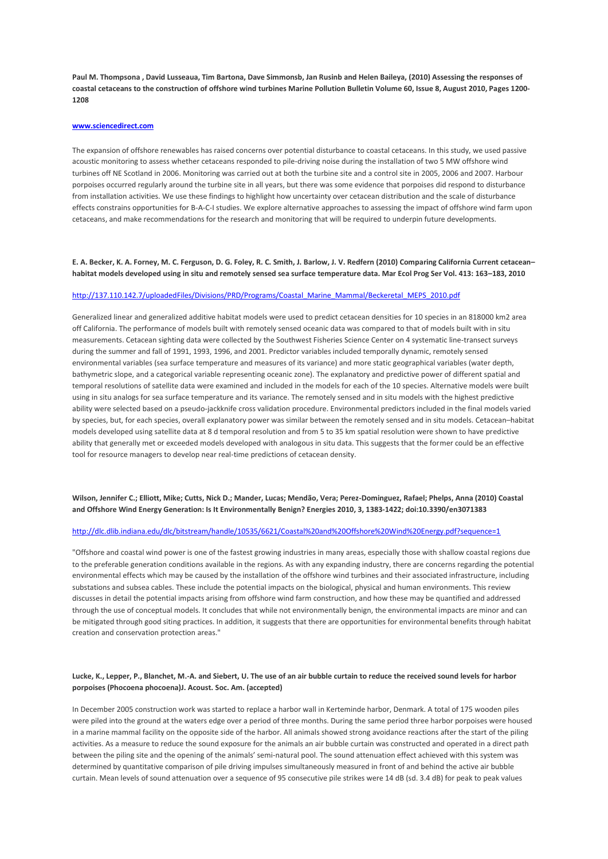<span id="page-10-0"></span>**Paul M. Thompsona , David Lusseaua, Tim Bartona, Dave Simmonsb, Jan Rusinb and Helen Baileya, (2010) Assessing the responses of coastal cetaceans to the construction of offshore wind turbines Marine Pollution Bulletin Volume 60, Issue 8, August 2010, Pages 1200- 1208**

#### **[www.sciencedirect.com](http://www.sciencedirect.com/)**

The expansion of offshore renewables has raised concerns over potential disturbance to coastal cetaceans. In this study, we used passive acoustic monitoring to assess whether cetaceans responded to pile-driving noise during the installation of two 5 MW offshore wind turbines off NE Scotland in 2006. Monitoring was carried out at both the turbine site and a control site in 2005, 2006 and 2007. Harbour porpoises occurred regularly around the turbine site in all years, but there was some evidence that porpoises did respond to disturbance from installation activities. We use these findings to highlight how uncertainty over cetacean distribution and the scale of disturbance effects constrains opportunities for B-A-C-I studies. We explore alternative approaches to assessing the impact of offshore wind farm upon cetaceans, and make recommendations for the research and monitoring that will be required to underpin future developments.

#### **E. A. Becker, K. A. Forney, M. C. Ferguson, D. G. Foley, R. C. Smith, J. Barlow, J. V. Redfern (2010) Comparing California Current cetacean– habitat models developed using in situ and remotely sensed sea surface temperature data. Mar Ecol Prog Ser Vol. 413: 163–183, 2010**

#### [http://137.110.142.7/uploadedFiles/Divisions/PRD/Programs/Coastal\\_Marine\\_Mammal/Beckeretal\\_MEPS\\_2010.pdf](http://137.110.142.7/uploadedFiles/Divisions/PRD/Programs/Coastal_Marine_Mammal/Beckeretal_MEPS_2010.pdf)

Generalized linear and generalized additive habitat models were used to predict cetacean densities for 10 species in an 818000 km2 area off California. The performance of models built with remotely sensed oceanic data was compared to that of models built with in situ measurements. Cetacean sighting data were collected by the Southwest Fisheries Science Center on 4 systematic line-transect surveys during the summer and fall of 1991, 1993, 1996, and 2001. Predictor variables included temporally dynamic, remotely sensed environmental variables (sea surface temperature and measures of its variance) and more static geographical variables (water depth, bathymetric slope, and a categorical variable representing oceanic zone). The explanatory and predictive power of different spatial and temporal resolutions of satellite data were examined and included in the models for each of the 10 species. Alternative models were built using in situ analogs for sea surface temperature and its variance. The remotely sensed and in situ models with the highest predictive ability were selected based on a pseudo-jackknife cross validation procedure. Environmental predictors included in the final models varied by species, but, for each species, overall explanatory power was similar between the remotely sensed and in situ models. Cetacean–habitat models developed using satellite data at 8 d temporal resolution and from 5 to 35 km spatial resolution were shown to have predictive ability that generally met or exceeded models developed with analogous in situ data. This suggests that the former could be an effective tool for resource managers to develop near real-time predictions of cetacean density.

**Wilson, Jennifer C.; Elliott, Mike; Cutts, Nick D.; Mander, Lucas; Mendão, Vera; Perez-Dominguez, Rafael; Phelps, Anna (2010) Coastal and Offshore Wind Energy Generation: Is It Environmentally Benign? Energies 2010, 3, 1383-1422; doi:10.3390/en3071383**

#### <http://dlc.dlib.indiana.edu/dlc/bitstream/handle/10535/6621/Coastal%20and%20Offshore%20Wind%20Energy.pdf?sequence=1>

"Offshore and coastal wind power is one of the fastest growing industries in many areas, especially those with shallow coastal regions due to the preferable generation conditions available in the regions. As with any expanding industry, there are concerns regarding the potential environmental effects which may be caused by the installation of the offshore wind turbines and their associated infrastructure, including substations and subsea cables. These include the potential impacts on the biological, physical and human environments. This review discusses in detail the potential impacts arising from offshore wind farm construction, and how these may be quantified and addressed through the use of conceptual models. It concludes that while not environmentally benign, the environmental impacts are minor and can be mitigated through good siting practices. In addition, it suggests that there are opportunities for environmental benefits through habitat creation and conservation protection areas."

#### **Lucke, K., Lepper, P., Blanchet, M.-A. and Siebert, U. The use of an air bubble curtain to reduce the received sound levels for harbor porpoises (Phocoena phocoena)J. Acoust. Soc. Am. (accepted)**

In December 2005 construction work was started to replace a harbor wall in Kerteminde harbor, Denmark. A total of 175 wooden piles were piled into the ground at the waters edge over a period of three months. During the same period three harbor porpoises were housed in a marine mammal facility on the opposite side of the harbor. All animals showed strong avoidance reactions after the start of the piling activities. As a measure to reduce the sound exposure for the animals an air bubble curtain was constructed and operated in a direct path between the piling site and the opening of the animals' semi-natural pool. The sound attenuation effect achieved with this system was determined by quantitative comparison of pile driving impulses simultaneously measured in front of and behind the active air bubble curtain. Mean levels of sound attenuation over a sequence of 95 consecutive pile strikes were 14 dB (sd. 3.4 dB) for peak to peak values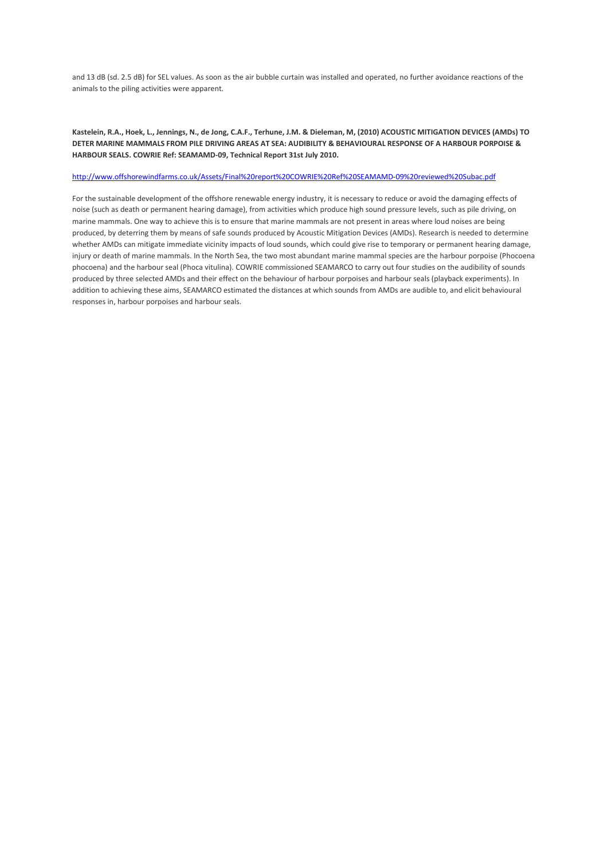and 13 dB (sd. 2.5 dB) for SEL values. As soon as the air bubble curtain was installed and operated, no further avoidance reactions of the animals to the piling activities were apparent.

**Kastelein, R.A., Hoek, L., Jennings, N., de Jong, C.A.F., Terhune, J.M. & Dieleman, M, (2010) ACOUSTIC MITIGATION DEVICES (AMDs) TO DETER MARINE MAMMALS FROM PILE DRIVING AREAS AT SEA: AUDIBILITY & BEHAVIOURAL RESPONSE OF A HARBOUR PORPOISE & HARBOUR SEALS. COWRIE Ref: SEAMAMD-09, Technical Report 31st July 2010.**

#### <http://www.offshorewindfarms.co.uk/Assets/Final%20report%20COWRIE%20Ref%20SEAMAMD-09%20reviewed%20Subac.pdf>

For the sustainable development of the offshore renewable energy industry, it is necessary to reduce or avoid the damaging effects of noise (such as death or permanent hearing damage), from activities which produce high sound pressure levels, such as pile driving, on marine mammals. One way to achieve this is to ensure that marine mammals are not present in areas where loud noises are being produced, by deterring them by means of safe sounds produced by Acoustic Mitigation Devices (AMDs). Research is needed to determine whether AMDs can mitigate immediate vicinity impacts of loud sounds, which could give rise to temporary or permanent hearing damage, injury or death of marine mammals. In the North Sea, the two most abundant marine mammal species are the harbour porpoise (Phocoena phocoena) and the harbour seal (Phoca vitulina). COWRIE commissioned SEAMARCO to carry out four studies on the audibility of sounds produced by three selected AMDs and their effect on the behaviour of harbour porpoises and harbour seals (playback experiments). In addition to achieving these aims, SEAMARCO estimated the distances at which sounds from AMDs are audible to, and elicit behavioural responses in, harbour porpoises and harbour seals.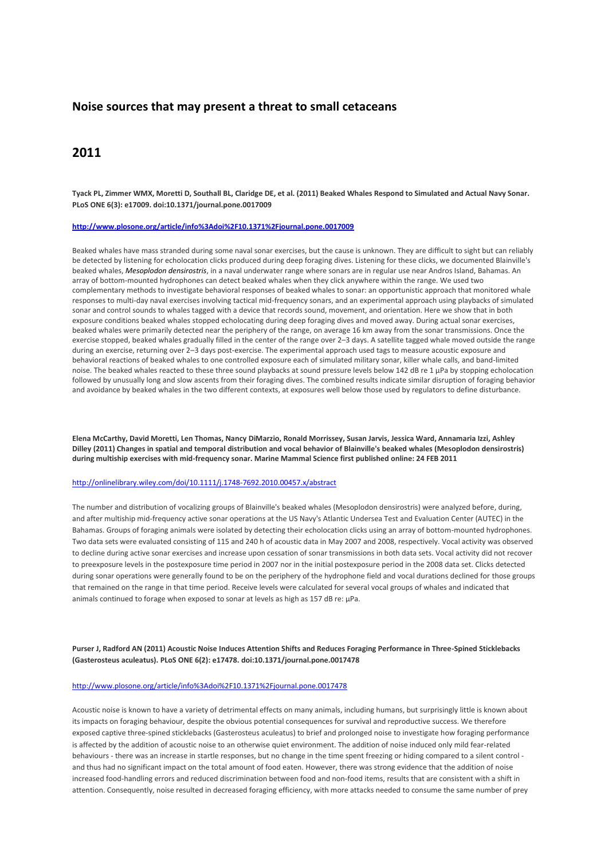### **Noise sources that may present a threat to small cetaceans**

### **2011**

**Tyack PL, Zimmer WMX, Moretti D, Southall BL, Claridge DE, et al. (2011) Beaked Whales Respond to Simulated and Actual Navy Sonar. PLoS ONE 6(3): e17009. doi:10.1371/journal.pone.0017009**

#### **<http://www.plosone.org/article/info%3Adoi%2F10.1371%2Fjournal.pone.0017009>**

Beaked whales have mass stranded during some naval sonar exercises, but the cause is unknown. They are difficult to sight but can reliably be detected by listening for echolocation clicks produced during deep foraging dives. Listening for these clicks, we documented Blainville's beaked whales, *Mesoplodon densirostris*, in a naval underwater range where sonars are in regular use near Andros Island, Bahamas. An array of bottom-mounted hydrophones can detect beaked whales when they click anywhere within the range. We used two complementary methods to investigate behavioral responses of beaked whales to sonar: an opportunistic approach that monitored whale responses to multi-day naval exercises involving tactical mid-frequency sonars, and an experimental approach using playbacks of simulated sonar and control sounds to whales tagged with a device that records sound, movement, and orientation. Here we show that in both exposure conditions beaked whales stopped echolocating during deep foraging dives and moved away. During actual sonar exercises, beaked whales were primarily detected near the periphery of the range, on average 16 km away from the sonar transmissions. Once the exercise stopped, beaked whales gradually filled in the center of the range over 2–3 days. A satellite tagged whale moved outside the range during an exercise, returning over 2–3 days post-exercise. The experimental approach used tags to measure acoustic exposure and behavioral reactions of beaked whales to one controlled exposure each of simulated military sonar, killer whale calls, and band-limited noise. The beaked whales reacted to these three sound playbacks at sound pressure levels below 142 dB re 1 µPa by stopping echolocation followed by unusually long and slow ascents from their foraging dives. The combined results indicate similar disruption of foraging behavior and avoidance by beaked whales in the two different contexts, at exposures well below those used by regulators to define disturbance.

**Elena McCarthy, David Moretti, Len Thomas, Nancy DiMarzio, Ronald Morrissey, Susan Jarvis, Jessica Ward, Annamaria Izzi, Ashley Dilley (2011) Changes in spatial and temporal distribution and vocal behavior of Blainville's beaked whales (Mesoplodon densirostris) during multiship exercises with mid-frequency sonar. Marine Mammal Science first published online: 24 FEB 2011**

#### <http://onlinelibrary.wiley.com/doi/10.1111/j.1748-7692.2010.00457.x/abstract>

The number and distribution of vocalizing groups of Blainville's beaked whales (Mesoplodon densirostris) were analyzed before, during, and after multiship mid-frequency active sonar operations at the US Navy's Atlantic Undersea Test and Evaluation Center (AUTEC) in the Bahamas. Groups of foraging animals were isolated by detecting their echolocation clicks using an array of bottom-mounted hydrophones. Two data sets were evaluated consisting of 115 and 240 h of acoustic data in May 2007 and 2008, respectively. Vocal activity was observed to decline during active sonar exercises and increase upon cessation of sonar transmissions in both data sets. Vocal activity did not recover to preexposure levels in the postexposure time period in 2007 nor in the initial postexposure period in the 2008 data set. Clicks detected during sonar operations were generally found to be on the periphery of the hydrophone field and vocal durations declined for those groups that remained on the range in that time period. Receive levels were calculated for several vocal groups of whales and indicated that animals continued to forage when exposed to sonar at levels as high as 157 dB re: μPa.

**Purser J, Radford AN (2011) Acoustic Noise Induces Attention Shifts and Reduces Foraging Performance in Three-Spined Sticklebacks (Gasterosteus aculeatus). PLoS ONE 6(2): e17478. doi:10.1371/journal.pone.0017478**

#### <http://www.plosone.org/article/info%3Adoi%2F10.1371%2Fjournal.pone.0017478>

Acoustic noise is known to have a variety of detrimental effects on many animals, including humans, but surprisingly little is known about its impacts on foraging behaviour, despite the obvious potential consequences for survival and reproductive success. We therefore exposed captive three-spined sticklebacks (Gasterosteus aculeatus) to brief and prolonged noise to investigate how foraging performance is affected by the addition of acoustic noise to an otherwise quiet environment. The addition of noise induced only mild fear-related behaviours - there was an increase in startle responses, but no change in the time spent freezing or hiding compared to a silent control and thus had no significant impact on the total amount of food eaten. However, there was strong evidence that the addition of noise increased food-handling errors and reduced discrimination between food and non-food items, results that are consistent with a shift in attention. Consequently, noise resulted in decreased foraging efficiency, with more attacks needed to consume the same number of prey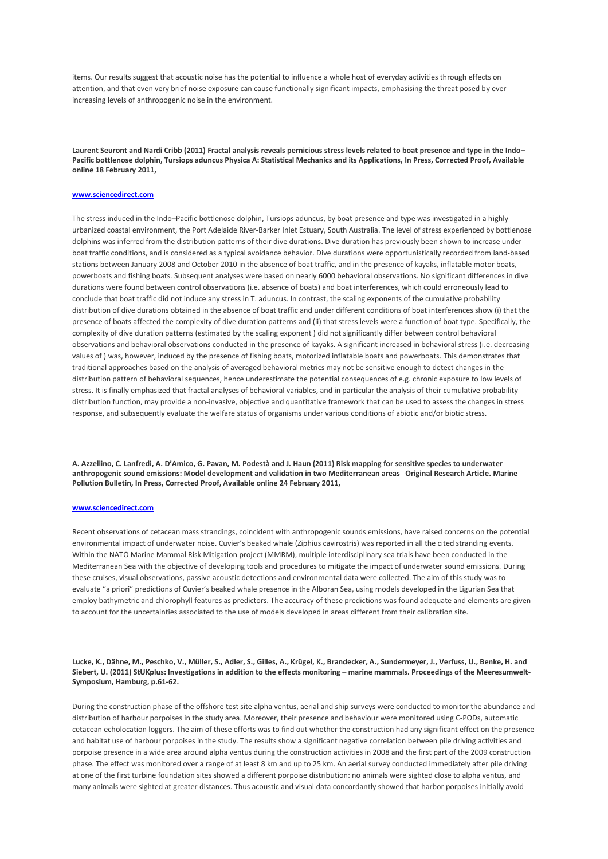items. Our results suggest that acoustic noise has the potential to influence a whole host of everyday activities through effects on attention, and that even very brief noise exposure can cause functionally significant impacts, emphasising the threat posed by everincreasing levels of anthropogenic noise in the environment.

**Laurent Seuront and Nardi Cribb (2011) Fractal analysis reveals pernicious stress levels related to boat presence and type in the Indo– Pacific bottlenose dolphin, Tursiops aduncus Physica A: Statistical Mechanics and its Applications, In Press, Corrected Proof, Available online 18 February 2011,** 

#### **[www.sciencedirect.com](http://www.sciencedirect.com/)**

The stress induced in the Indo–Pacific bottlenose dolphin, Tursiops aduncus, by boat presence and type was investigated in a highly urbanized coastal environment, the Port Adelaide River-Barker Inlet Estuary, South Australia. The level of stress experienced by bottlenose dolphins was inferred from the distribution patterns of their dive durations. Dive duration has previously been shown to increase under boat traffic conditions, and is considered as a typical avoidance behavior. Dive durations were opportunistically recorded from land-based stations between January 2008 and October 2010 in the absence of boat traffic, and in the presence of kayaks, inflatable motor boats, powerboats and fishing boats. Subsequent analyses were based on nearly 6000 behavioral observations. No significant differences in dive durations were found between control observations (i.e. absence of boats) and boat interferences, which could erroneously lead to conclude that boat traffic did not induce any stress in T. aduncus. In contrast, the scaling exponents of the cumulative probability distribution of dive durations obtained in the absence of boat traffic and under different conditions of boat interferences show (i) that the presence of boats affected the complexity of dive duration patterns and (ii) that stress levels were a function of boat type. Specifically, the complexity of dive duration patterns (estimated by the scaling exponent ) did not significantly differ between control behavioral observations and behavioral observations conducted in the presence of kayaks. A significant increased in behavioral stress (i.e. decreasing values of ) was, however, induced by the presence of fishing boats, motorized inflatable boats and powerboats. This demonstrates that traditional approaches based on the analysis of averaged behavioral metrics may not be sensitive enough to detect changes in the distribution pattern of behavioral sequences, hence underestimate the potential consequences of e.g. chronic exposure to low levels of stress. It is finally emphasized that fractal analyses of behavioral variables, and in particular the analysis of their cumulative probability distribution function, may provide a non-invasive, objective and quantitative framework that can be used to assess the changes in stress response, and subsequently evaluate the welfare status of organisms under various conditions of abiotic and/or biotic stress.

**A. Azzellino, C. Lanfredi, A. D'Amico, G. Pavan, M. Podestà and J. Haun (2011) Risk mapping for sensitive species to underwater anthropogenic sound emissions: Model development and validation in two Mediterranean areas Original Research Article. Marine Pollution Bulletin, In Press, Corrected Proof, Available online 24 February 2011,** 

#### **[www.sciencedirect.com](http://www.sciencedirect.com/)**

Recent observations of cetacean mass strandings, coincident with anthropogenic sounds emissions, have raised concerns on the potential environmental impact of underwater noise. Cuvier's beaked whale (Ziphius cavirostris) was reported in all the cited stranding events. Within the NATO Marine Mammal Risk Mitigation project (MMRM), multiple interdisciplinary sea trials have been conducted in the Mediterranean Sea with the objective of developing tools and procedures to mitigate the impact of underwater sound emissions. During these cruises, visual observations, passive acoustic detections and environmental data were collected. The aim of this study was to evaluate "a priori" predictions of Cuvier's beaked whale presence in the Alboran Sea, using models developed in the Ligurian Sea that employ bathymetric and chlorophyll features as predictors. The accuracy of these predictions was found adequate and elements are given to account for the uncertainties associated to the use of models developed in areas different from their calibration site.

**Lucke, K., Dähne, M., Peschko, V., Müller, S., Adler, S., Gilles, A., Krügel, K., Brandecker, A., Sundermeyer, J., Verfuss, U., Benke, H. and**  Siebert, U. (2011) StUKplus: Investigations in addition to the effects monitoring - marine mammals. Proceedings of the Meeresumwelt-**Symposium, Hamburg, p.61-62.**

During the construction phase of the offshore test site alpha ventus, aerial and ship surveys were conducted to monitor the abundance and distribution of harbour porpoises in the study area. Moreover, their presence and behaviour were monitored using C-PODs, automatic cetacean echolocation loggers. The aim of these efforts was to find out whether the construction had any significant effect on the presence and habitat use of harbour porpoises in the study. The results show a significant negative correlation between pile driving activities and porpoise presence in a wide area around alpha ventus during the construction activities in 2008 and the first part of the 2009 construction phase. The effect was monitored over a range of at least 8 km and up to 25 km. An aerial survey conducted immediately after pile driving at one of the first turbine foundation sites showed a different porpoise distribution: no animals were sighted close to alpha ventus, and many animals were sighted at greater distances. Thus acoustic and visual data concordantly showed that harbor porpoises initially avoid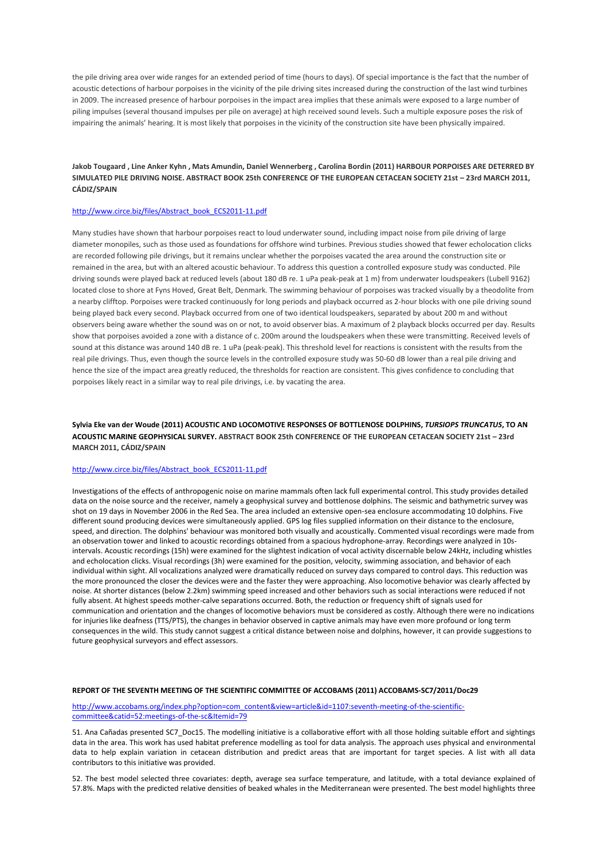the pile driving area over wide ranges for an extended period of time (hours to days). Of special importance is the fact that the number of acoustic detections of harbour porpoises in the vicinity of the pile driving sites increased during the construction of the last wind turbines in 2009. The increased presence of harbour porpoises in the impact area implies that these animals were exposed to a large number of piling impulses (several thousand impulses per pile on average) at high received sound levels. Such a multiple exposure poses the risk of impairing the animals' hearing. It is most likely that porpoises in the vicinity of the construction site have been physically impaired.

#### **Jakob Tougaard , Line Anker Kyhn , Mats Amundin, Daniel Wennerberg , Carolina Bordin (2011) HARBOUR PORPOISES ARE DETERRED BY SIMULATED PILE DRIVING NOISE. ABSTRACT BOOK 25th CONFERENCE OF THE EUROPEAN CETACEAN SOCIETY 21st – 23rd MARCH 2011, CÁDIZ/SPAIN**

#### [http://www.circe.biz/files/Abstract\\_book\\_ECS2011-11.pdf](http://www.circe.biz/files/Abstract_book_ECS2011-11.pdf)

Many studies have shown that harbour porpoises react to loud underwater sound, including impact noise from pile driving of large diameter monopiles, such as those used as foundations for offshore wind turbines. Previous studies showed that fewer echolocation clicks are recorded following pile drivings, but it remains unclear whether the porpoises vacated the area around the construction site or remained in the area, but with an altered acoustic behaviour. To address this question a controlled exposure study was conducted. Pile driving sounds were played back at reduced levels (about 180 dB re. 1 uPa peak-peak at 1 m) from underwater loudspeakers (Lubell 9162) located close to shore at Fyns Hoved, Great Belt, Denmark. The swimming behaviour of porpoises was tracked visually by a theodolite from a nearby clifftop. Porpoises were tracked continuously for long periods and playback occurred as 2-hour blocks with one pile driving sound being played back every second. Playback occurred from one of two identical loudspeakers, separated by about 200 m and without observers being aware whether the sound was on or not, to avoid observer bias. A maximum of 2 playback blocks occurred per day. Results show that porpoises avoided a zone with a distance of c. 200m around the loudspeakers when these were transmitting. Received levels of sound at this distance was around 140 dB re. 1 uPa (peak-peak). This threshold level for reactions is consistent with the results from the real pile drivings. Thus, even though the source levels in the controlled exposure study was 50-60 dB lower than a real pile driving and hence the size of the impact area greatly reduced, the thresholds for reaction are consistent. This gives confidence to concluding that porpoises likely react in a similar way to real pile drivings, i.e. by vacating the area.

**Sylvia Eke van der Woude (2011) ACOUSTIC AND LOCOMOTIVE RESPONSES OF BOTTLENOSE DOLPHINS,** *TURSIOPS TRUNCATUS***, TO AN ACOUSTIC MARINE GEOPHYSICAL SURVEY. ABSTRACT BOOK 25th CONFERENCE OF THE EUROPEAN CETACEAN SOCIETY 21st – 23rd MARCH 2011, CÁDIZ/SPAIN**

#### [http://www.circe.biz/files/Abstract\\_book\\_ECS2011-11.pdf](http://www.circe.biz/files/Abstract_book_ECS2011-11.pdf)

Investigations of the effects of anthropogenic noise on marine mammals often lack full experimental control. This study provides detailed data on the noise source and the receiver, namely a geophysical survey and bottlenose dolphins. The seismic and bathymetric survey was shot on 19 days in November 2006 in the Red Sea. The area included an extensive open-sea enclosure accommodating 10 dolphins. Five different sound producing devices were simultaneously applied. GPS log files supplied information on their distance to the enclosure, speed, and direction. The dolphins' behaviour was monitored both visually and acoustically. Commented visual recordings were made from an observation tower and linked to acoustic recordings obtained from a spacious hydrophone-array. Recordings were analyzed in 10sintervals. Acoustic recordings (15h) were examined for the slightest indication of vocal activity discernable below 24kHz, including whistles and echolocation clicks. Visual recordings (3h) were examined for the position, velocity, swimming association, and behavior of each individual within sight. All vocalizations analyzed were dramatically reduced on survey days compared to control days. This reduction was the more pronounced the closer the devices were and the faster they were approaching. Also locomotive behavior was clearly affected by noise. At shorter distances (below 2.2km) swimming speed increased and other behaviors such as social interactions were reduced if not fully absent. At highest speeds mother-calve separations occurred. Both, the reduction or frequency shift of signals used for communication and orientation and the changes of locomotive behaviors must be considered as costly. Although there were no indications for injuries like deafness (TTS/PTS), the changes in behavior observed in captive animals may have even more profound or long term consequences in the wild. This study cannot suggest a critical distance between noise and dolphins, however, it can provide suggestions to future geophysical surveyors and effect assessors.

#### **REPORT OF THE SEVENTH MEETING OF THE SCIENTIFIC COMMITTEE OF ACCOBAMS (2011) ACCOBAMS-SC7/2011/Doc29**

[http://www.accobams.org/index.php?option=com\\_content&view=article&id=1107:seventh-meeting-of-the-scientific](http://www.accobams.org/index.php?option=com_content&view=article&id=1107:seventh-meeting-of-the-scientific-committee&catid=52:meetings-of-the-sc&Itemid=79)[committee&catid=52:meetings-of-the-sc&Itemid=79](http://www.accobams.org/index.php?option=com_content&view=article&id=1107:seventh-meeting-of-the-scientific-committee&catid=52:meetings-of-the-sc&Itemid=79)

51. Ana Cañadas presented SC7\_Doc15. The modelling initiative is a collaborative effort with all those holding suitable effort and sightings data in the area. This work has used habitat preference modelling as tool for data analysis. The approach uses physical and environmental data to help explain variation in cetacean distribution and predict areas that are important for target species. A list with all data contributors to this initiative was provided.

52. The best model selected three covariates: depth, average sea surface temperature, and latitude, with a total deviance explained of 57.8%. Maps with the predicted relative densities of beaked whales in the Mediterranean were presented. The best model highlights three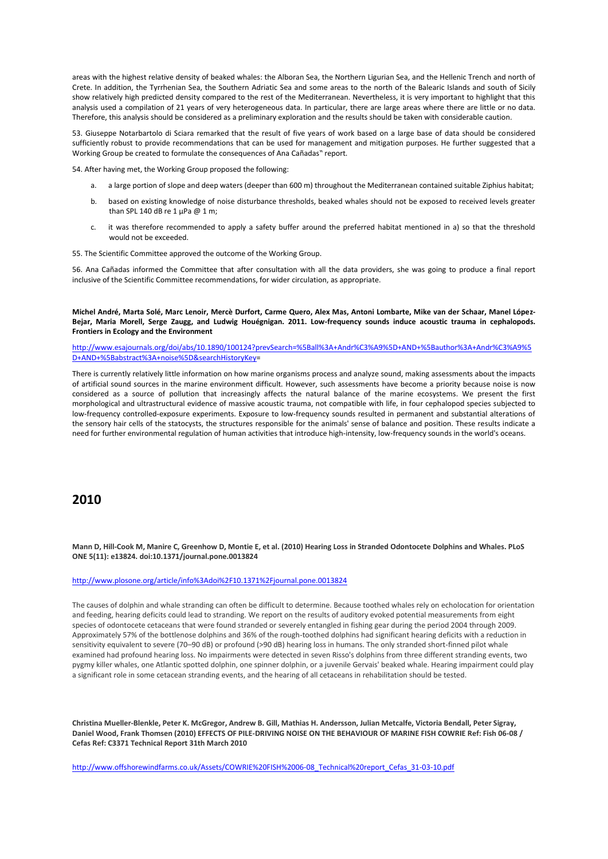areas with the highest relative density of beaked whales: the Alboran Sea, the Northern Ligurian Sea, and the Hellenic Trench and north of Crete. In addition, the Tyrrhenian Sea, the Southern Adriatic Sea and some areas to the north of the Balearic Islands and south of Sicily show relatively high predicted density compared to the rest of the Mediterranean. Nevertheless, it is very important to highlight that this analysis used a compilation of 21 years of very heterogeneous data. In particular, there are large areas where there are little or no data. Therefore, this analysis should be considered as a preliminary exploration and the results should be taken with considerable caution.

53. Giuseppe Notarbartolo di Sciara remarked that the result of five years of work based on a large base of data should be considered sufficiently robust to provide recommendations that can be used for management and mitigation purposes. He further suggested that a Working Group be created to formulate the consequences of Ana Cañadas" report.

54. After having met, the Working Group proposed the following:

- a. a large portion of slope and deep waters (deeper than 600 m) throughout the Mediterranean contained suitable Ziphius habitat;
- b. based on existing knowledge of noise disturbance thresholds, beaked whales should not be exposed to received levels greater than SPL 140 dB re 1 μPa @ 1 m;
- c. it was therefore recommended to apply a safety buffer around the preferred habitat mentioned in a) so that the threshold would not be exceeded.
- 55. The Scientific Committee approved the outcome of the Working Group.

56. Ana Cañadas informed the Committee that after consultation with all the data providers, she was going to produce a final report inclusive of the Scientific Committee recommendations, for wider circulation, as appropriate.

**Michel André, Marta Solé, Marc Lenoir, Mercè Durfort, Carme Quero, Alex Mas, Antoni Lombarte, Mike van der Schaar, Manel López-Bejar, Maria Morell, Serge Zaugg, and Ludwig Houégnigan. 2011. Low-frequency sounds induce acoustic trauma in cephalopods. Frontiers in Ecology and the Environment**

[http://www.esajournals.org/doi/abs/10.1890/100124?prevSearch=%5Ball%3A+Andr%C3%A9%5D+AND+%5Bauthor%3A+Andr%C3%A9%5](http://www.esajournals.org/doi/abs/10.1890/100124?prevSearch=%5Ball%3A+Andr%C3%A9%5D+AND+%5Bauthor%3A+Andr%C3%A9%5D+AND+%5Babstract%3A+noise%5D&searchHistoryKey) [D+AND+%5Babstract%3A+noise%5D&searchHistoryKey=](http://www.esajournals.org/doi/abs/10.1890/100124?prevSearch=%5Ball%3A+Andr%C3%A9%5D+AND+%5Bauthor%3A+Andr%C3%A9%5D+AND+%5Babstract%3A+noise%5D&searchHistoryKey)

There is currently relatively little information on how marine organisms process and analyze sound, making assessments about the impacts of artificial sound sources in the marine environment difficult. However, such assessments have become a priority because noise is now considered as a source of pollution that increasingly affects the natural balance of the marine ecosystems. We present the first morphological and ultrastructural evidence of massive acoustic trauma, not compatible with life, in four cephalopod species subjected to low-frequency controlled-exposure experiments. Exposure to low-frequency sounds resulted in permanent and substantial alterations of the sensory hair cells of the statocysts, the structures responsible for the animals' sense of balance and position. These results indicate a need for further environmental regulation of human activities that introduce high-intensity, low-frequency sounds in the world's oceans.

### **2010**

**Mann D, Hill-Cook M, Manire C, Greenhow D, Montie E, et al. (2010) Hearing Loss in Stranded Odontocete Dolphins and Whales. PLoS ONE 5(11): e13824. doi:10.1371/journal.pone.0013824**

<http://www.plosone.org/article/info%3Adoi%2F10.1371%2Fjournal.pone.0013824>

The causes of dolphin and whale stranding can often be difficult to determine. Because toothed whales rely on echolocation for orientation and feeding, hearing deficits could lead to stranding. We report on the results of auditory evoked potential measurements from eight species of odontocete cetaceans that were found stranded or severely entangled in fishing gear during the period 2004 through 2009. Approximately 57% of the bottlenose dolphins and 36% of the rough-toothed dolphins had significant hearing deficits with a reduction in sensitivity equivalent to severe (70–90 dB) or profound (>90 dB) hearing loss in humans. The only stranded short-finned pilot whale examined had profound hearing loss. No impairments were detected in seven Risso's dolphins from three different stranding events, two pygmy killer whales, one Atlantic spotted dolphin, one spinner dolphin, or a juvenile Gervais' beaked whale. Hearing impairment could play a significant role in some cetacean stranding events, and the hearing of all cetaceans in rehabilitation should be tested.

**Christina Mueller-Blenkle, Peter K. McGregor, Andrew B. Gill, Mathias H. Andersson, Julian Metcalfe, Victoria Bendall, Peter Sigray, Daniel Wood, Frank Thomsen (2010) EFFECTS OF PILE-DRIVING NOISE ON THE BEHAVIOUR OF MARINE FISH COWRIE Ref: Fish 06-08 / Cefas Ref: C3371 Technical Report 31th March 2010**

[http://www.offshorewindfarms.co.uk/Assets/COWRIE%20FISH%2006-08\\_Technical%20report\\_Cefas\\_31-03-10.pdf](http://www.offshorewindfarms.co.uk/Assets/COWRIE%20FISH%2006-08_Technical%20report_Cefas_31-03-10.pdf)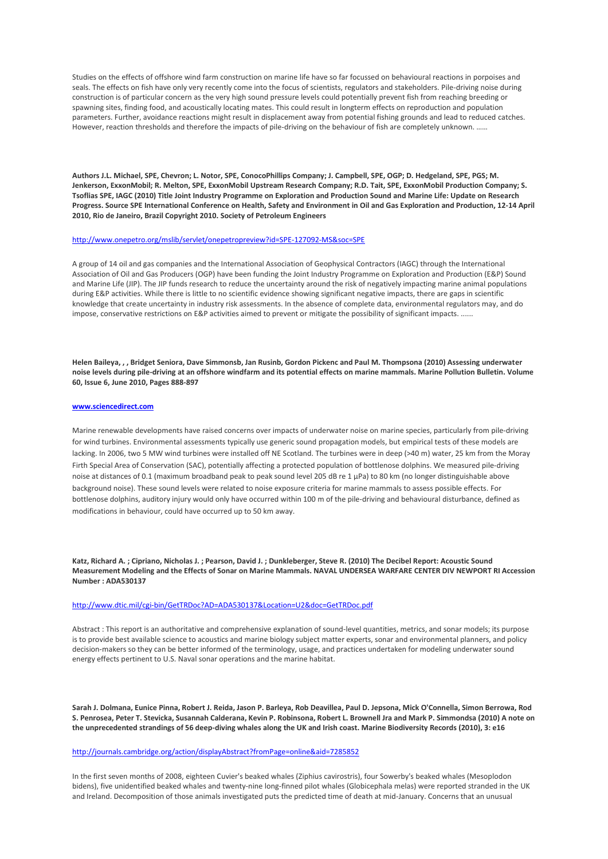<span id="page-16-0"></span>Studies on the effects of offshore wind farm construction on marine life have so far focussed on behavioural reactions in porpoises and seals. The effects on fish have only very recently come into the focus of scientists, regulators and stakeholders. Pile-driving noise during construction is of particular concern as the very high sound pressure levels could potentially prevent fish from reaching breeding or spawning sites, finding food, and acoustically locating mates. This could result in longterm effects on reproduction and population parameters. Further, avoidance reactions might result in displacement away from potential fishing grounds and lead to reduced catches. However, reaction thresholds and therefore the impacts of pile-driving on the behaviour of fish are completely unknown. ……

**Authors J.L. Michael, SPE, Chevron; L. Notor, SPE, ConocoPhillips Company; J. Campbell, SPE, OGP; D. Hedgeland, SPE, PGS; M. Jenkerson, ExxonMobil; R. Melton, SPE, ExxonMobil Upstream Research Company; R.D. Tait, SPE, ExxonMobil Production Company; S. Tsoflias SPE, IAGC (2010) Title Joint Industry Programme on Exploration and Production Sound and Marine Life: Update on Research Progress. Source SPE International Conference on Health, Safety and Environment in Oil and Gas Exploration and Production, 12-14 April 2010, Rio de Janeiro, Brazil Copyright 2010. Society of Petroleum Engineers**

#### <http://www.onepetro.org/mslib/servlet/onepetropreview?id=SPE-127092-MS&soc=SPE>

A group of 14 oil and gas companies and the International Association of Geophysical Contractors (IAGC) through the International Association of Oil and Gas Producers (OGP) have been funding the Joint Industry Programme on Exploration and Production (E&P) Sound and Marine Life (JIP). The JIP funds research to reduce the uncertainty around the risk of negatively impacting marine animal populations during E&P activities. While there is little to no scientific evidence showing significant negative impacts, there are gaps in scientific knowledge that create uncertainty in industry risk assessments. In the absence of complete data, environmental regulators may, and do impose, conservative restrictions on E&P activities aimed to prevent or mitigate the possibility of significant impacts. ......

**Helen Baileya, , , Bridget Seniora, Dave Simmonsb, Jan Rusinb, Gordon Pickenc and Paul M. Thompsona (2010) Assessing underwater noise levels during pile-driving at an offshore windfarm and its potential effects on marine mammals. Marine Pollution Bulletin. Volume 60, Issue 6, June 2010, Pages 888-897**

#### **[www.sciencedirect.com](http://www.sciencedirect.com/)**

Marine renewable developments have raised concerns over impacts of underwater noise on marine species, particularly from pile-driving for wind turbines. Environmental assessments typically use generic sound propagation models, but empirical tests of these models are lacking. In 2006, two 5 MW wind turbines were installed off NE Scotland. The turbines were in deep (>40 m) water, 25 km from the Moray Firth Special Area of Conservation (SAC), potentially affecting a protected population of bottlenose dolphins. We measured pile-driving noise at distances of 0.1 (maximum broadband peak to peak sound level 205 dB re 1 μPa) to 80 km (no longer distinguishable above background noise). These sound levels were related to noise exposure criteria for marine mammals to assess possible effects. For bottlenose dolphins, auditory injury would only have occurred within 100 m of the pile-driving and behavioural disturbance, defined as modifications in behaviour, could have occurred up to 50 km away.

**Katz, Richard A. ; Cipriano, Nicholas J. ; Pearson, David J. ; Dunkleberger, Steve R. (2010) The Decibel Report: Acoustic Sound Measurement Modeling and the Effects of Sonar on Marine Mammals. NAVAL UNDERSEA WARFARE CENTER DIV NEWPORT RI Accession Number : ADA530137**

#### <http://www.dtic.mil/cgi-bin/GetTRDoc?AD=ADA530137&Location=U2&doc=GetTRDoc.pdf>

Abstract : This report is an authoritative and comprehensive explanation of sound-level quantities, metrics, and sonar models; its purpose is to provide best available science to acoustics and marine biology subject matter experts, sonar and environmental planners, and policy decision-makers so they can be better informed of the terminology, usage, and practices undertaken for modeling underwater sound energy effects pertinent to U.S. Naval sonar operations and the marine habitat.

**Sarah J. Dolmana, Eunice Pinna, Robert J. Reida, Jason P. Barleya, Rob Deavillea, Paul D. Jepsona, Mick O'Connella, Simon Berrowa, Rod S. Penrosea, Peter T. Stevicka, Susannah Calderana, Kevin P. Robinsona, Robert L. Brownell Jra and Mark P. Simmondsa (2010) A note on the unprecedented strandings of 56 deep-diving whales along the UK and Irish coast. Marine Biodiversity Records (2010), 3: e16**

#### <http://journals.cambridge.org/action/displayAbstract?fromPage=online&aid=7285852>

In the first seven months of 2008, eighteen Cuvier's beaked whales (Ziphius cavirostris), four Sowerby's beaked whales (Mesoplodon bidens), five unidentified beaked whales and twenty-nine long-finned pilot whales (Globicephala melas) were reported stranded in the UK and Ireland. Decomposition of those animals investigated puts the predicted time of death at mid-January. Concerns that an unusual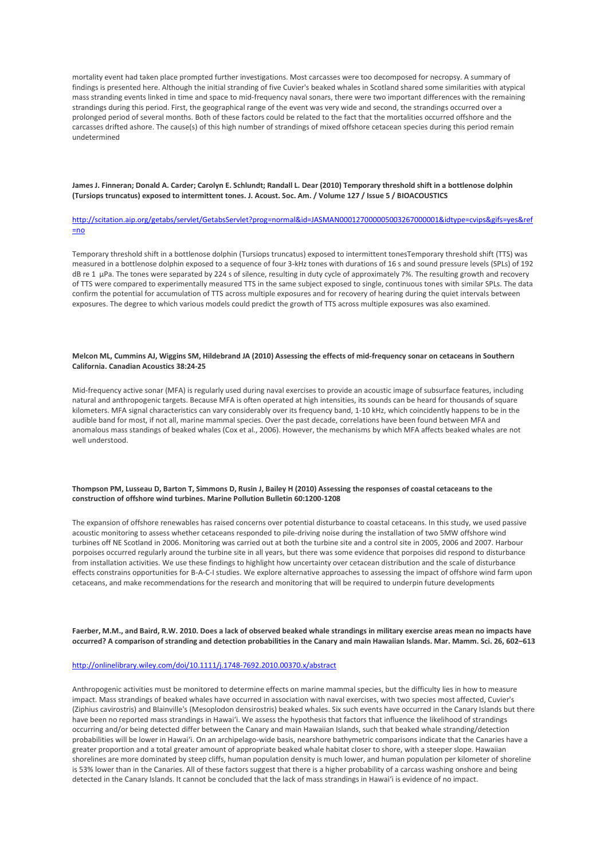mortality event had taken place prompted further investigations. Most carcasses were too decomposed for necropsy. A summary of findings is presented here. Although the initial stranding of five Cuvier's beaked whales in Scotland shared some similarities with atypical mass stranding events linked in time and space to mid-frequency naval sonars, there were two important differences with the remaining strandings during this period. First, the geographical range of the event was very wide and second, the strandings occurred over a prolonged period of several months. Both of these factors could be related to the fact that the mortalities occurred offshore and the carcasses drifted ashore. The cause(s) of this high number of strandings of mixed offshore cetacean species during this period remain undetermined

**James J. Finneran; Donald A. Carder; Carolyn E. Schlundt; Randall L. Dear (2010) Temporary threshold shift in a bottlenose dolphin (Tursiops truncatus) exposed to intermittent tones. J. Acoust. Soc. Am. / Volume 127 / Issue 5 / BIOACOUSTICS** 

#### [http://scitation.aip.org/getabs/servlet/GetabsServlet?prog=normal&id=JASMAN000127000005003267000001&idtype=cvips&gifs=yes&ref](http://scitation.aip.org/getabs/servlet/GetabsServlet?prog=normal&id=JASMAN000127000005003267000001&idtype=cvips&gifs=yes&ref=no) [=no](http://scitation.aip.org/getabs/servlet/GetabsServlet?prog=normal&id=JASMAN000127000005003267000001&idtype=cvips&gifs=yes&ref=no)

Temporary threshold shift in a bottlenose dolphin (Tursiops truncatus) exposed to intermittent tonesTemporary threshold shift (TTS) was measured in a bottlenose dolphin exposed to a sequence of four 3-kHz tones with durations of 16 s and sound pressure levels (SPLs) of 192 dB re 1 µPa. The tones were separated by 224 s of silence, resulting in duty cycle of approximately 7%. The resulting growth and recovery of TTS were compared to experimentally measured TTS in the same subject exposed to single, continuous tones with similar SPLs. The data confirm the potential for accumulation of TTS across multiple exposures and for recovery of hearing during the quiet intervals between exposures. The degree to which various models could predict the growth of TTS across multiple exposures was also examined.

#### **Melcon ML, Cummins AJ, Wiggins SM, Hildebrand JA (2010) Assessing the effects of mid-frequency sonar on cetaceans in Southern California. Canadian Acoustics 38:24-25**

Mid-frequency active sonar (MFA) is regularly used during naval exercises to provide an acoustic image of subsurface features, including natural and anthropogenic targets. Because MFA is often operated at high intensities, its sounds can be heard for thousands of square kilometers. MFA signal characteristics can vary considerably over its frequency band, 1-10 kHz, which coincidently happens to be in the audible band for most, if not all, marine mammal species. Over the past decade, correlations have been found between MFA and anomalous mass standings of beaked whales (Cox et al., 2006). However, the mechanisms by which MFA affects beaked whales are not well understood.

#### **Thompson PM, Lusseau D, Barton T, Simmons D, Rusin J, Bailey H (2010) Assessing the responses of coastal cetaceans to the construction of offshore wind turbines. Marine Pollution Bulletin 60:1200-1208**

The expansion of offshore renewables has raised concerns over potential disturbance to coastal cetaceans. In this study, we used passive acoustic monitoring to assess whether cetaceans responded to pile-driving noise during the installation of two 5MW offshore wind turbines off NE Scotland in 2006. Monitoring was carried out at both the turbine site and a control site in 2005, 2006 and 2007. Harbour porpoises occurred regularly around the turbine site in all years, but there was some evidence that porpoises did respond to disturbance from installation activities. We use these findings to highlight how uncertainty over cetacean distribution and the scale of disturbance effects constrains opportunities for B-A-C-I studies. We explore alternative approaches to assessing the impact of offshore wind farm upon cetaceans, and make recommendations for the research and monitoring that will be required to underpin future developments

#### **Faerber, M.M., and Baird, R.W. 2010. Does a lack of observed beaked whale strandings in military exercise areas mean no impacts have occurred? A comparison of stranding and detection probabilities in the Canary and main Hawaiian Islands. Mar. Mamm. Sci. 26, 602–613**

#### <http://onlinelibrary.wiley.com/doi/10.1111/j.1748-7692.2010.00370.x/abstract>

Anthropogenic activities must be monitored to determine effects on marine mammal species, but the difficulty lies in how to measure impact. Mass strandings of beaked whales have occurred in association with naval exercises, with two species most affected, Cuvier's (Ziphius cavirostris) and Blainville's (Mesoplodon densirostris) beaked whales. Six such events have occurred in the Canary Islands but there have been no reported mass strandings in Hawai'i. We assess the hypothesis that factors that influence the likelihood of strandings occurring and/or being detected differ between the Canary and main Hawaiian Islands, such that beaked whale stranding/detection probabilities will be lower in Hawai'i. On an archipelago-wide basis, nearshore bathymetric comparisons indicate that the Canaries have a greater proportion and a total greater amount of appropriate beaked whale habitat closer to shore, with a steeper slope. Hawaiian shorelines are more dominated by steep cliffs, human population density is much lower, and human population per kilometer of shoreline is 53% lower than in the Canaries. All of these factors suggest that there is a higher probability of a carcass washing onshore and being detected in the Canary Islands. It cannot be concluded that the lack of mass strandings in Hawai'i is evidence of no impact.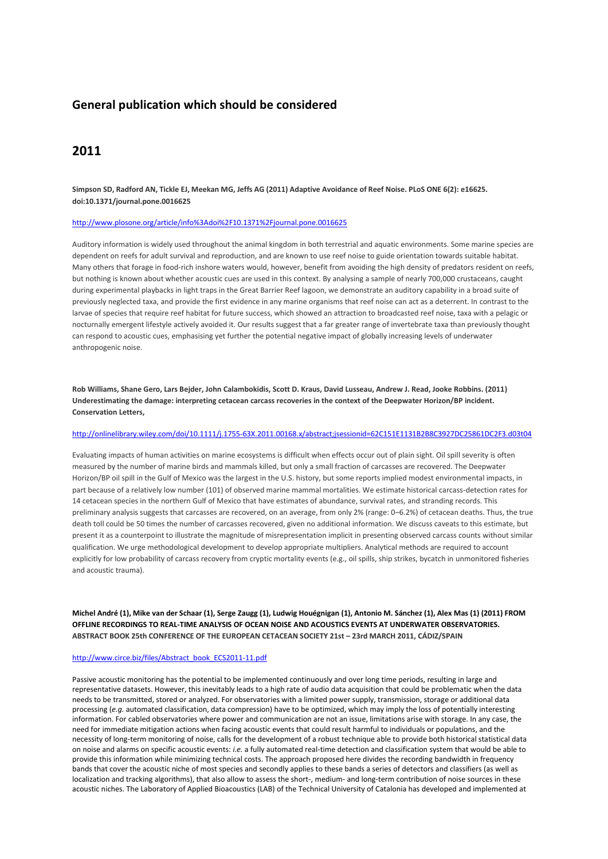### **General publication which should be considered**

### **2011**

#### **Simpson SD, Radford AN, Tickle EJ, Meekan MG, Jeffs AG (2011) Adaptive Avoidance of Reef Noise. PLoS ONE 6(2): e16625. doi:10.1371/journal.pone.0016625**

#### <http://www.plosone.org/article/info%3Adoi%2F10.1371%2Fjournal.pone.0016625>

Auditory information is widely used throughout the animal kingdom in both terrestrial and aquatic environments. Some marine species are dependent on reefs for adult survival and reproduction, and are known to use reef noise to guide orientation towards suitable habitat. Many others that forage in food-rich inshore waters would, however, benefit from avoiding the high density of predators resident on reefs, but nothing is known about whether acoustic cues are used in this context. By analysing a sample of nearly 700,000 crustaceans, caught during experimental playbacks in light traps in the Great Barrier Reef lagoon, we demonstrate an auditory capability in a broad suite of previously neglected taxa, and provide the first evidence in any marine organisms that reef noise can act as a deterrent. In contrast to the larvae of species that require reef habitat for future success, which showed an attraction to broadcasted reef noise, taxa with a pelagic or nocturnally emergent lifestyle actively avoided it. Our results suggest that a far greater range of invertebrate taxa than previously thought can respond to acoustic cues, emphasising yet further the potential negative impact of globally increasing levels of underwater anthropogenic noise.

**Rob Williams, Shane Gero, Lars Bejder, John Calambokidis, Scott D. Kraus, David Lusseau, Andrew J. Read, Jooke Robbins. (2011) Underestimating the damage: interpreting cetacean carcass recoveries in the context of the Deepwater Horizon/BP incident. Conservation Letters,** 

#### <http://onlinelibrary.wiley.com/doi/10.1111/j.1755-63X.2011.00168.x/abstract;jsessionid=62C151E1131B2B8C3927DC25861DC2F3.d03t04>

Evaluating impacts of human activities on marine ecosystems is difficult when effects occur out of plain sight. Oil spill severity is often measured by the number of marine birds and mammals killed, but only a small fraction of carcasses are recovered. The Deepwater Horizon/BP oil spill in the Gulf of Mexico was the largest in the U.S. history, but some reports implied modest environmental impacts, in part because of a relatively low number (101) of observed marine mammal mortalities. We estimate historical carcass-detection rates for 14 cetacean species in the northern Gulf of Mexico that have estimates of abundance, survival rates, and stranding records. This preliminary analysis suggests that carcasses are recovered, on an average, from only 2% (range: 0–6.2%) of cetacean deaths. Thus, the true death toll could be 50 times the number of carcasses recovered, given no additional information. We discuss caveats to this estimate, but present it as a counterpoint to illustrate the magnitude of misrepresentation implicit in presenting observed carcass counts without similar qualification. We urge methodological development to develop appropriate multipliers. Analytical methods are required to account explicitly for low probability of carcass recovery from cryptic mortality events (e.g., oil spills, ship strikes, bycatch in unmonitored fisheries and acoustic trauma).

**Michel André (1), Mike van der Schaar (1), Serge Zaugg (1), Ludwig Houégnigan (1), Antonio M. Sánchez (1), Alex Mas (1) (2011) FROM OFFLINE RECORDINGS TO REAL-TIME ANALYSIS OF OCEAN NOISE AND ACOUSTICS EVENTS AT UNDERWATER OBSERVATORIES. ABSTRACT BOOK 25th CONFERENCE OF THE EUROPEAN CETACEAN SOCIETY 21st – 23rd MARCH 2011, CÁDIZ/SPAIN**

#### [http://www.circe.biz/files/Abstract\\_book\\_ECS2011-11.pdf](http://www.circe.biz/files/Abstract_book_ECS2011-11.pdf)

Passive acoustic monitoring has the potential to be implemented continuously and over long time periods, resulting in large and representative datasets. However, this inevitably leads to a high rate of audio data acquisition that could be problematic when the data needs to be transmitted, stored or analyzed. For observatories with a limited power supply, transmission, storage or additional data processing (*e.g.* automated classification, data compression) have to be optimized, which may imply the loss of potentially interesting information. For cabled observatories where power and communication are not an issue, limitations arise with storage. In any case, the need for immediate mitigation actions when facing acoustic events that could result harmful to individuals or populations, and the necessity of long-term monitoring of noise, calls for the development of a robust technique able to provide both historical statistical data on noise and alarms on specific acoustic events: *i.e.* a fully automated real-time detection and classification system that would be able to provide this information while minimizing technical costs. The approach proposed here divides the recording bandwidth in frequency bands that cover the acoustic niche of most species and secondly applies to these bands a series of detectors and classifiers (as well as localization and tracking algorithms), that also allow to assess the short-, medium- and long-term contribution of noise sources in these acoustic niches. The Laboratory of Applied Bioacoustics (LAB) of the Technical University of Catalonia has developed and implemented at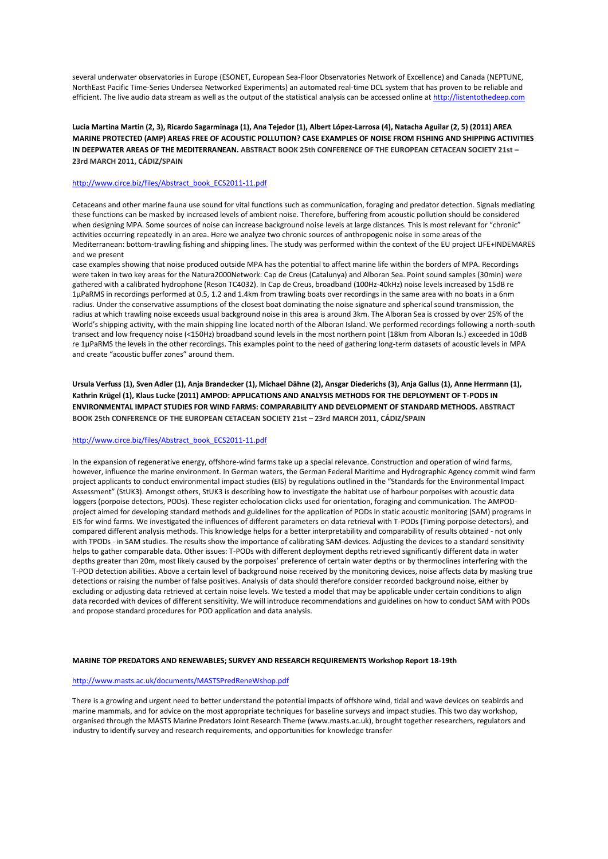several underwater observatories in Europe (ESONET, European Sea-Floor Observatories Network of Excellence) and Canada (NEPTUNE, NorthEast Pacific Time-Series Undersea Networked Experiments) an automated real-time DCL system that has proven to be reliable and efficient. The live audio data stream as well as the output of the statistical analysis can be accessed online a[t http://listentothedeep.com](http://listentothedeep.com/)

**Lucia Martina Martin (2, 3), Ricardo Sagarminaga (1), Ana Tejedor (1), Albert López-Larrosa (4), Natacha Aguilar (2, 5) (2011) AREA MARINE PROTECTED (AMP) AREAS FREE OF ACOUSTIC POLLUTION? CASE EXAMPLES OF NOISE FROM FISHING AND SHIPPING ACTIVITIES IN DEEPWATER AREAS OF THE MEDITERRANEAN. ABSTRACT BOOK 25th CONFERENCE OF THE EUROPEAN CETACEAN SOCIETY 21st – 23rd MARCH 2011, CÁDIZ/SPAIN**

#### [http://www.circe.biz/files/Abstract\\_book\\_ECS2011-11.pdf](http://www.circe.biz/files/Abstract_book_ECS2011-11.pdf)

Cetaceans and other marine fauna use sound for vital functions such as communication, foraging and predator detection. Signals mediating these functions can be masked by increased levels of ambient noise. Therefore, buffering from acoustic pollution should be considered when designing MPA. Some sources of noise can increase background noise levels at large distances. This is most relevant for "chronic" activities occurring repeatedly in an area. Here we analyze two chronic sources of anthropogenic noise in some areas of the Mediterranean: bottom-trawling fishing and shipping lines. The study was performed within the context of the EU project LIFE+INDEMARES and we present

case examples showing that noise produced outside MPA has the potential to affect marine life within the borders of MPA. Recordings were taken in two key areas for the Natura2000Network: Cap de Creus (Catalunya) and Alboran Sea. Point sound samples (30min) were gathered with a calibrated hydrophone (Reson TC4032). In Cap de Creus, broadband (100Hz-40kHz) noise levels increased by 15dB re 1μPaRMS in recordings performed at 0.5, 1.2 and 1.4km from trawling boats over recordings in the same area with no boats in a 6nm radius. Under the conservative assumptions of the closest boat dominating the noise signature and spherical sound transmission, the radius at which trawling noise exceeds usual background noise in this area is around 3km. The Alboran Sea is crossed by over 25% of the World's shipping activity, with the main shipping line located north of the Alboran Island. We performed recordings following a north-south transect and low frequency noise (<150Hz) broadband sound levels in the most northern point (18km from Alboran Is.) exceeded in 10dB re 1μPaRMS the levels in the other recordings. This examples point to the need of gathering long-term datasets of acoustic levels in MPA and create "acoustic buffer zones" around them.

**Ursula Verfuss (1), Sven Adler (1), Anja Brandecker (1), Michael Dähne (2), Ansgar Diederichs (3), Anja Gallus (1), Anne Herrmann (1), Kathrin Krügel (1), Klaus Lucke (2011) AMPOD: APPLICATIONS AND ANALYSIS METHODS FOR THE DEPLOYMENT OF T-PODS IN ENVIRONMENTAL IMPACT STUDIES FOR WIND FARMS: COMPARABILITY AND DEVELOPMENT OF STANDARD METHODS. ABSTRACT**  BOOK 25th CONFERENCE OF THE EUROPEAN CETACEAN SOCIETY 21st - 23rd MARCH 2011, CÁDIZ/SPAIN

#### [http://www.circe.biz/files/Abstract\\_book\\_ECS2011-11.pdf](http://www.circe.biz/files/Abstract_book_ECS2011-11.pdf)

In the expansion of regenerative energy, offshore-wind farms take up a special relevance. Construction and operation of wind farms, however, influence the marine environment. In German waters, the German Federal Maritime and Hydrographic Agency commit wind farm project applicants to conduct environmental impact studies (EIS) by regulations outlined in the "Standards for the Environmental Impact Assessment" (StUK3). Amongst others, StUK3 is describing how to investigate the habitat use of harbour porpoises with acoustic data loggers (porpoise detectors, PODs). These register echolocation clicks used for orientation, foraging and communication. The AMPODproject aimed for developing standard methods and guidelines for the application of PODs in static acoustic monitoring (SAM) programs in EIS for wind farms. We investigated the influences of different parameters on data retrieval with T-PODs (Timing porpoise detectors), and compared different analysis methods. This knowledge helps for a better interpretability and comparability of results obtained - not only with TPODs - in SAM studies. The results show the importance of calibrating SAM-devices. Adjusting the devices to a standard sensitivity helps to gather comparable data. Other issues: T-PODs with different deployment depths retrieved significantly different data in water depths greater than 20m, most likely caused by the porpoises' preference of certain water depths or by thermoclines interfering with the T-POD detection abilities. Above a certain level of background noise received by the monitoring devices, noise affects data by masking true detections or raising the number of false positives. Analysis of data should therefore consider recorded background noise, either by excluding or adjusting data retrieved at certain noise levels. We tested a model that may be applicable under certain conditions to align data recorded with devices of different sensitivity. We will introduce recommendations and guidelines on how to conduct SAM with PODs and propose standard procedures for POD application and data analysis.

#### **MARINE TOP PREDATORS AND RENEWABLES; SURVEY AND RESEARCH REQUIREMENTS Workshop Report 18-19th**

#### <http://www.masts.ac.uk/documents/MASTSPredReneWshop.pdf>

There is a growing and urgent need to better understand the potential impacts of offshore wind, tidal and wave devices on seabirds and marine mammals, and for advice on the most appropriate techniques for baseline surveys and impact studies. This two day workshop, organised through the MASTS Marine Predators Joint Research Theme (www.masts.ac.uk), brought together researchers, regulators and industry to identify survey and research requirements, and opportunities for knowledge transfer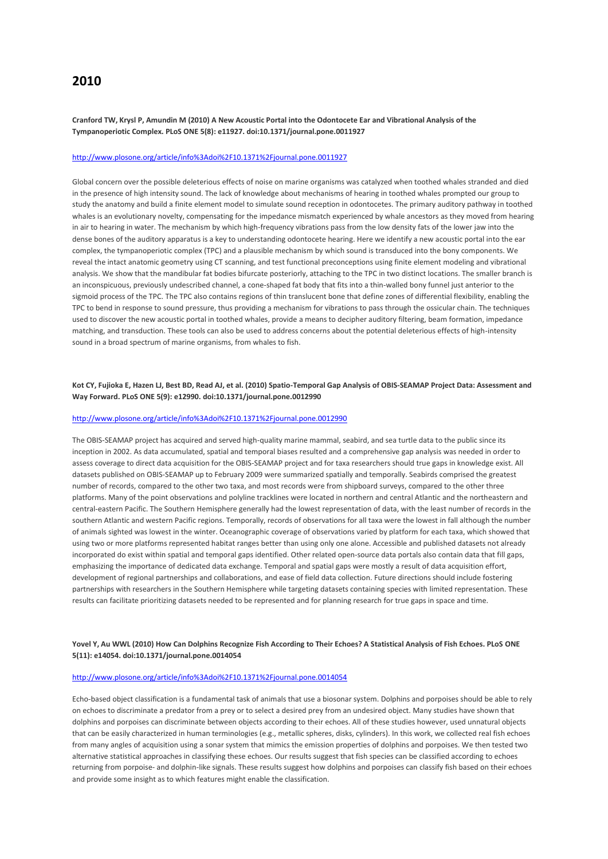### <span id="page-20-0"></span>**2010**

**Cranford TW, Krysl P, Amundin M (2010) A New Acoustic Portal into the Odontocete Ear and Vibrational Analysis of the Tympanoperiotic Complex. PLoS ONE 5(8): e11927. doi:10.1371/journal.pone.0011927**

#### <span id="page-20-1"></span><http://www.plosone.org/article/info%3Adoi%2F10.1371%2Fjournal.pone.0011927>

Global concern over the possible deleterious effects of noise on marine organisms was catalyzed when toothed whales stranded and died in the presence of high intensity sound. The lack of knowledge about mechanisms of hearing in toothed whales prompted our group to study the anatomy and build a finite element model to simulate sound reception in odontocetes. The primary auditory pathway in toothed whales is an evolutionary novelty, compensating for the impedance mismatch experienced by whale ancestors as they moved from hearing in air to hearing in water. The mechanism by which high-frequency vibrations pass from the low density fats of the lower jaw into the dense bones of the auditory apparatus is a key to understanding odontocete hearing. Here we identify a new acoustic portal into the ear complex, the tympanoperiotic complex (TPC) and a plausible mechanism by which sound is transduced into the bony components. We reveal the intact anatomic geometry using CT scanning, and test functional preconceptions using finite element modeling and vibrational analysis. We show that the mandibular fat bodies bifurcate posteriorly, attaching to the TPC in two distinct locations. The smaller branch is an inconspicuous, previously undescribed channel, a cone-shaped fat body that fits into a thin-walled bony funnel just anterior to the sigmoid process of the TPC. The TPC also contains regions of thin translucent bone that define zones of differential flexibility, enabling the TPC to bend in response to sound pressure, thus providing a mechanism for vibrations to pass through the ossicular chain. The techniques used to discover the new acoustic portal in toothed whales, provide a means to decipher auditory filtering, beam formation, impedance matching, and transduction. These tools can also be used to address concerns about the potential deleterious effects of high-intensity sound in a broad spectrum of marine organisms, from whales to fish.

#### **Kot CY, Fujioka E, Hazen LJ, Best BD, Read AJ, et al. (2010) Spatio-Temporal Gap Analysis of OBIS-SEAMAP Project Data: Assessment and Way Forward. PLoS ONE 5(9): e12990. doi:10.1371/journal.pone.0012990**

#### <http://www.plosone.org/article/info%3Adoi%2F10.1371%2Fjournal.pone.0012990>

The OBIS-SEAMAP project has acquired and served high-quality marine mammal, seabird, and sea turtle data to the public since its inception in 2002. As data accumulated, spatial and temporal biases resulted and a comprehensive gap analysis was needed in order to assess coverage to direct data acquisition for the OBIS-SEAMAP project and for taxa researchers should true gaps in knowledge exist. All datasets published on OBIS-SEAMAP up to February 2009 were summarized spatially and temporally. Seabirds comprised the greatest number of records, compared to the other two taxa, and most records were from shipboard surveys, compared to the other three platforms. Many of the point observations and polyline tracklines were located in northern and central Atlantic and the northeastern and central-eastern Pacific. The Southern Hemisphere generally had the lowest representation of data, with the least number of records in the southern Atlantic and western Pacific regions. Temporally, records of observations for all taxa were the lowest in fall although the number of animals sighted was lowest in the winter. Oceanographic coverage of observations varied by platform for each taxa, which showed that using two or more platforms represented habitat ranges better than using only one alone. Accessible and published datasets not already incorporated do exist within spatial and temporal gaps identified. Other related open-source data portals also contain data that fill gaps, emphasizing the importance of dedicated data exchange. Temporal and spatial gaps were mostly a result of data acquisition effort, development of regional partnerships and collaborations, and ease of field data collection. Future directions should include fostering partnerships with researchers in the Southern Hemisphere while targeting datasets containing species with limited representation. These results can facilitate prioritizing datasets needed to be represented and for planning research for true gaps in space and time.

#### **Yovel Y, Au WWL (2010) How Can Dolphins Recognize Fish According to Their Echoes? A Statistical Analysis of Fish Echoes. PLoS ONE 5(11): e14054. doi:10.1371/journal.pone.0014054**

#### <http://www.plosone.org/article/info%3Adoi%2F10.1371%2Fjournal.pone.0014054>

Echo-based object classification is a fundamental task of animals that use a biosonar system. Dolphins and porpoises should be able to rely on echoes to discriminate a predator from a prey or to select a desired prey from an undesired object. Many studies have shown that dolphins and porpoises can discriminate between objects according to their echoes. All of these studies however, used unnatural objects that can be easily characterized in human terminologies (e.g., metallic spheres, disks, cylinders). In this work, we collected real fish echoes from many angles of acquisition using a sonar system that mimics the emission properties of dolphins and porpoises. We then tested two alternative statistical approaches in classifying these echoes. Our results suggest that fish species can be classified according to echoes returning from porpoise- and dolphin-like signals. These results suggest how dolphins and porpoises can classify fish based on their echoes and provide some insight as to which features might enable the classification.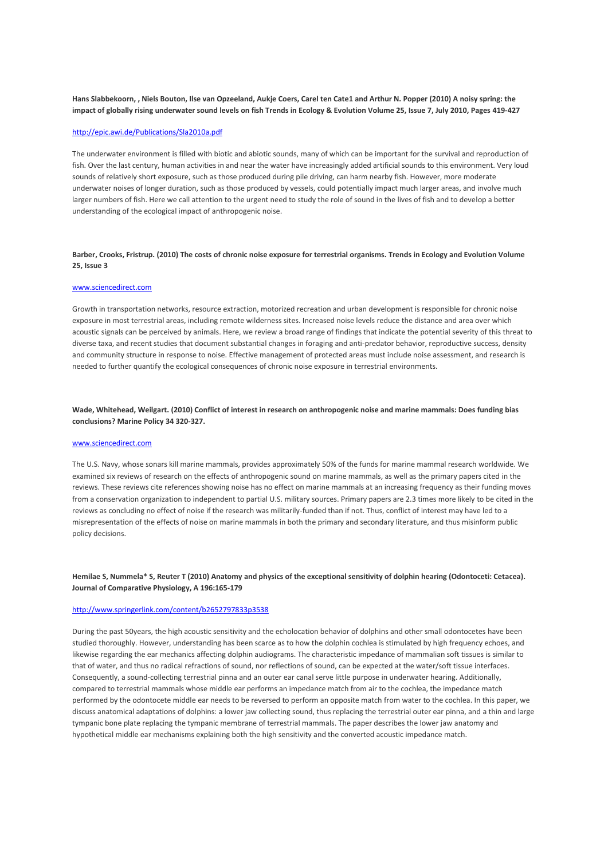**Hans Slabbekoorn, , Niels Bouton, Ilse van Opzeeland, Aukje Coers, Carel ten Cate1 and Arthur N. Popper (2010) A noisy spring: the impact of globally rising underwater sound levels on fish Trends in Ecology & Evolution Volume 25, Issue 7, July 2010, Pages 419-427** 

#### <http://epic.awi.de/Publications/Sla2010a.pdf>

The underwater environment is filled with biotic and abiotic sounds, many of which can be important for the survival and reproduction of fish. Over the last century, human activities in and near the water have increasingly added artificial sounds to this environment. Very loud sounds of relatively short exposure, such as those produced during pile driving, can harm nearby fish. However, more moderate underwater noises of longer duration, such as those produced by vessels, could potentially impact much larger areas, and involve much larger numbers of fish. Here we call attention to the urgent need to study the role of sound in the lives of fish and to develop a better understanding of the ecological impact of anthropogenic noise.

#### <span id="page-21-0"></span>**Barber, Crooks, Fristrup. (2010) The costs of chronic noise exposure for terrestrial organisms. Trends in Ecology and Evolution Volume 25, Issue 3**

#### [www.sciencedirect.com](http://www.sciencedirect.com/)

Growth in transportation networks, resource extraction, motorized recreation and urban development is responsible for chronic noise exposure in most terrestrial areas, including remote wilderness sites. Increased noise levels reduce the distance and area over which acoustic signals can be perceived by animals. Here, we review a broad range of findings that indicate the potential severity of this threat to diverse taxa, and recent studies that document substantial changes in foraging and anti-predator behavior, reproductive success, density and community structure in response to noise. Effective management of protected areas must include noise assessment, and research is needed to further quantify the ecological consequences of chronic noise exposure in terrestrial environments.

**Wade, Whitehead, Weilgart. (2010) Conflict of interest in research on anthropogenic noise and marine mammals: Does funding bias conclusions? Marine Policy 34 320-327.**

#### [www.sciencedirect.com](http://www.sciencedirect.com/)

The U.S. Navy, whose sonars kill marine mammals, provides approximately 50% of the funds for marine mammal research worldwide. We examined six reviews of research on the effects of anthropogenic sound on marine mammals, as well as the primary papers cited in the reviews. These reviews cite references showing noise has no effect on marine mammals at an increasing frequency as their funding moves from a conservation organization to independent to partial U.S. military sources. Primary papers are 2.3 times more likely to be cited in the reviews as concluding no effect of noise if the research was militarily-funded than if not. Thus, conflict of interest may have led to a misrepresentation of the effects of noise on marine mammals in both the primary and secondary literature, and thus misinform public policy decisions.

#### **Hemilae S, Nummela\* S, Reuter T (2010) Anatomy and physics of the exceptional sensitivity of dolphin hearing (Odontoceti: Cetacea). Journal of Comparative Physiology, A 196:165-179**

#### <http://www.springerlink.com/content/b2652797833p3538>

During the past 50years, the high acoustic sensitivity and the echolocation behavior of dolphins and other small odontocetes have been studied thoroughly. However, understanding has been scarce as to how the dolphin cochlea is stimulated by high frequency echoes, and likewise regarding the ear mechanics affecting dolphin audiograms. The characteristic impedance of mammalian soft tissues is similar to that of water, and thus no radical refractions of sound, nor reflections of sound, can be expected at the water/soft tissue interfaces. Consequently, a sound-collecting terrestrial pinna and an outer ear canal serve little purpose in underwater hearing. Additionally, compared to terrestrial mammals whose middle ear performs an impedance match from air to the cochlea, the impedance match performed by the odontocete middle ear needs to be reversed to perform an opposite match from water to the cochlea. In this paper, we discuss anatomical adaptations of dolphins: a lower jaw collecting sound, thus replacing the terrestrial outer ear pinna, and a thin and large tympanic bone plate replacing the tympanic membrane of terrestrial mammals. The paper describes the lower jaw anatomy and hypothetical middle ear mechanisms explaining both the high sensitivity and the converted acoustic impedance match.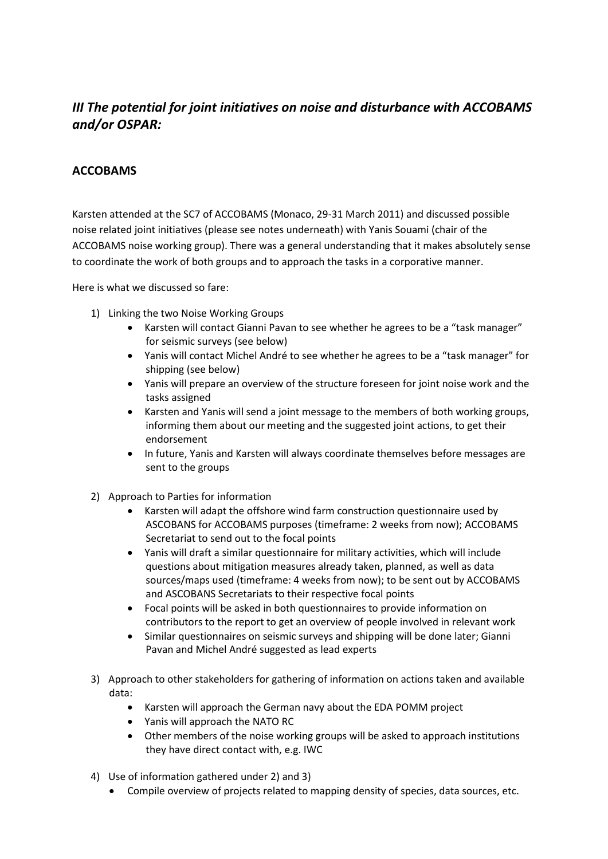## <span id="page-22-0"></span>*III The potential for joint initiatives on noise and disturbance with ACCOBAMS and/or OSPAR:*

### <span id="page-22-1"></span>**ACCOBAMS**

Karsten attended at the SC7 of ACCOBAMS (Monaco, 29-31 March 2011) and discussed possible noise related joint initiatives (please see notes underneath) with Yanis Souami (chair of the ACCOBAMS noise working group). There was a general understanding that it makes absolutely sense to coordinate the work of both groups and to approach the tasks in a corporative manner.

Here is what we discussed so fare:

- 1) Linking the two Noise Working Groups
	- Karsten will contact Gianni Pavan to see whether he agrees to be a "task manager" for seismic surveys (see below)
	- Yanis will contact Michel André to see whether he agrees to be a "task manager" for shipping (see below)
	- Yanis will prepare an overview of the structure foreseen for joint noise work and the tasks assigned
	- Karsten and Yanis will send a joint message to the members of both working groups, informing them about our meeting and the suggested joint actions, to get their endorsement
	- In future, Yanis and Karsten will always coordinate themselves before messages are sent to the groups
- <span id="page-22-2"></span>2) Approach to Parties for information
	- Karsten will adapt the offshore wind farm construction questionnaire used by ASCOBANS for ACCOBAMS purposes (timeframe: 2 weeks from now); ACCOBAMS Secretariat to send out to the focal points
	- Yanis will draft a similar questionnaire for military activities, which will include questions about mitigation measures already taken, planned, as well as data sources/maps used (timeframe: 4 weeks from now); to be sent out by ACCOBAMS and ASCOBANS Secretariats to their respective focal points
	- Focal points will be asked in both questionnaires to provide information on contributors to the report to get an overview of people involved in relevant work
	- Similar questionnaires on seismic surveys and shipping will be done later; Gianni Pavan and Michel André suggested as lead experts
- 3) Approach to other stakeholders for gathering of information on actions taken and available data:
	- Karsten will approach the German navy about the EDA POMM project
	- Yanis will approach the NATO RC
	- Other members of the noise working groups will be asked to approach institutions they have direct contact with, e.g. IWC
- 4) Use of information gathered under 2) and 3)
	- Compile overview of projects related to mapping density of species, data sources, etc.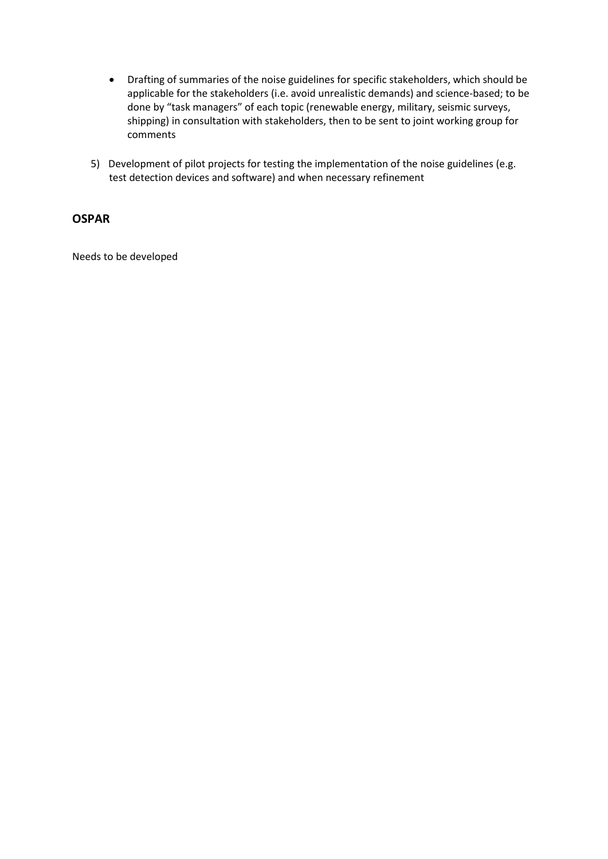- <span id="page-23-0"></span> Drafting of summaries of the noise guidelines for specific stakeholders, which should be applicable for the stakeholders (i.e. avoid unrealistic demands) and science-based; to be done by "task managers" of each topic (renewable energy, military, seismic surveys, shipping) in consultation with stakeholders, then to be sent to joint working group for comments
- 5) Development of pilot projects for testing the implementation of the noise guidelines (e.g. test detection devices and software) and when necessary refinement

### **OSPAR**

Needs to be developed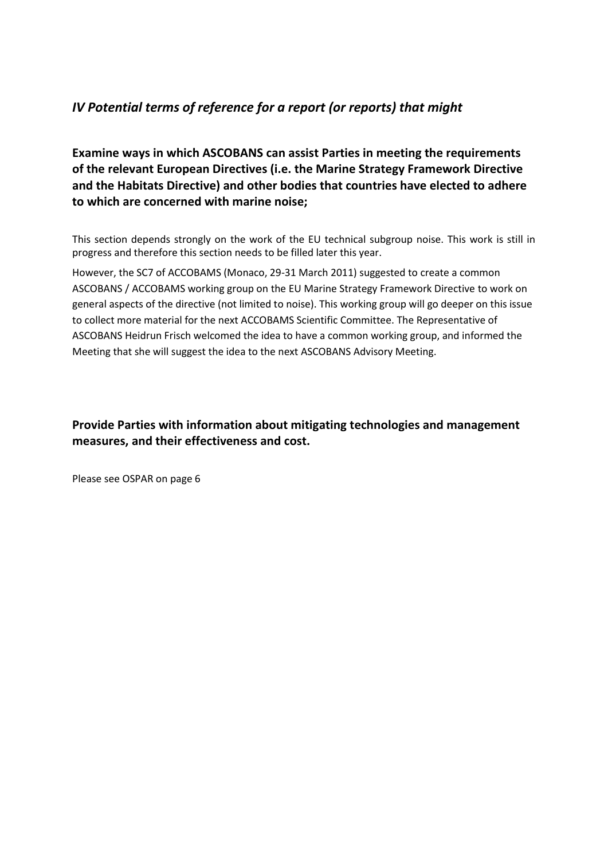## *IV Potential terms of reference for a report (or reports) that might*

**Examine ways in which ASCOBANS can assist Parties in meeting the requirements of the relevant European Directives (i.e. the Marine Strategy Framework Directive and the Habitats Directive) and other bodies that countries have elected to adhere to which are concerned with marine noise;** 

This section depends strongly on the work of the EU technical subgroup noise. This work is still in progress and therefore this section needs to be filled later this year.

However, the SC7 of ACCOBAMS (Monaco, 29-31 March 2011) suggested to create a common ASCOBANS / ACCOBAMS working group on the EU Marine Strategy Framework Directive to work on general aspects of the directive (not limited to noise). This working group will go deeper on this issue to collect more material for the next ACCOBAMS Scientific Committee. The Representative of ASCOBANS Heidrun Frisch welcomed the idea to have a common working group, and informed the Meeting that she will suggest the idea to the next ASCOBANS Advisory Meeting.

### **Provide Parties with information about mitigating technologies and management measures, and their effectiveness and cost.**

Please see OSPAR on page 6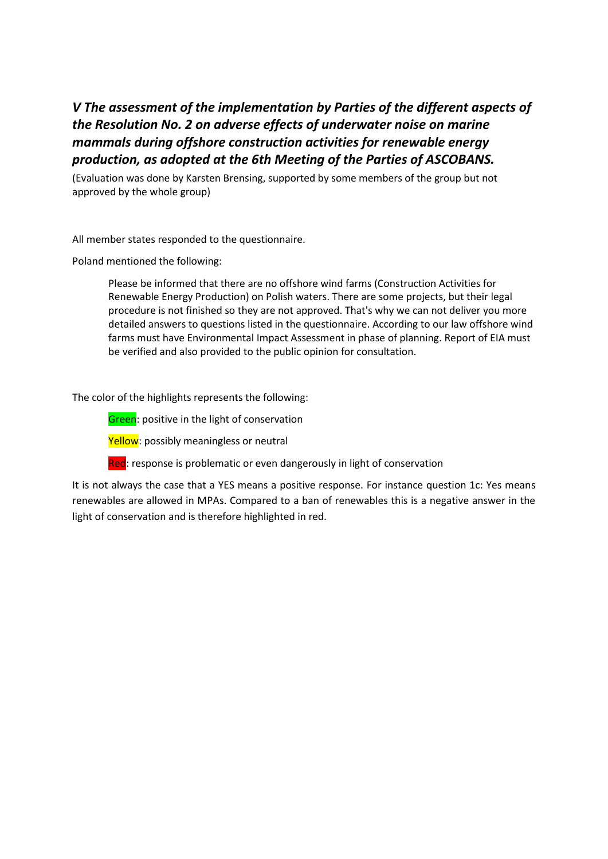## *V The assessment of the implementation by Parties of the different aspects of the Resolution No. 2 on adverse effects of underwater noise on marine mammals during offshore construction activities for renewable energy production, as adopted at the 6th Meeting of the Parties of ASCOBANS.*

(Evaluation was done by Karsten Brensing, supported by some members of the group but not approved by the whole group)

All member states responded to the questionnaire.

Poland mentioned the following:

Please be informed that there are no offshore wind farms (Construction Activities for Renewable Energy Production) on Polish waters. There are some projects, but their legal procedure is not finished so they are not approved. That's why we can not deliver you more detailed answers to questions listed in the questionnaire. According to our law offshore wind farms must have Environmental Impact Assessment in phase of planning. Report of EIA must be verified and also provided to the public opinion for consultation.

The color of the highlights represents the following:

**Green:** positive in the light of conservation

Yellow: possibly meaningless or neutral

Red: response is problematic or even dangerously in light of conservation

It is not always the case that a YES means a positive response. For instance question 1c: Yes means renewables are allowed in MPAs. Compared to a ban of renewables this is a negative answer in the light of conservation and is therefore highlighted in red.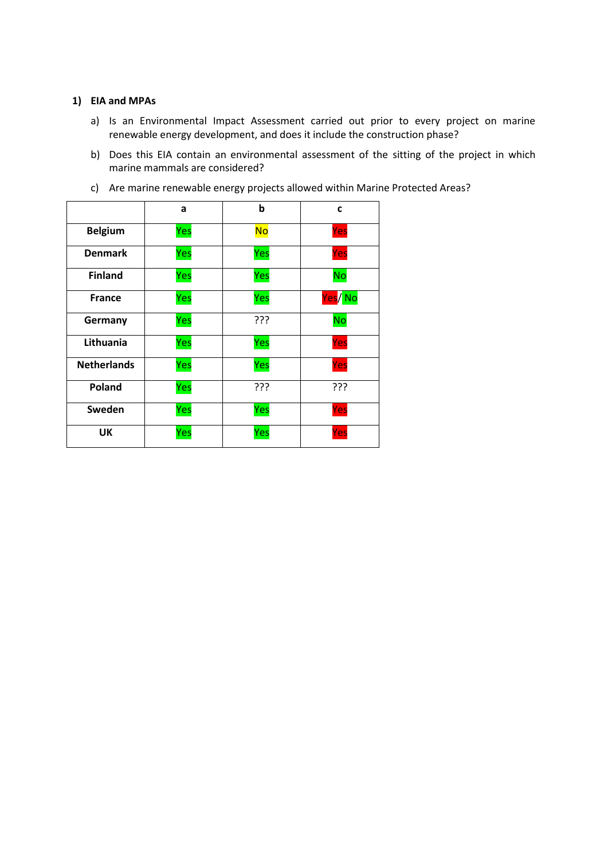### **1) EIA and MPAs**

- a) Is an Environmental Impact Assessment carried out prior to every project on marine renewable energy development, and does it include the construction phase?
- b) Does this EIA contain an environmental assessment of the sitting of the project in which marine mammals are considered?
- c) Are marine renewable energy projects allowed within Marine Protected Areas?

|                    | a   | b         | C                     |
|--------------------|-----|-----------|-----------------------|
| <b>Belgium</b>     | Yes | <b>No</b> | Yes                   |
| <b>Denmark</b>     | Yes | Yes       | Yes                   |
| <b>Finland</b>     | Yes | Yes       | <b>No</b>             |
| <b>France</b>      | Yes | Yes       | Yes <mark>/ No</mark> |
| Germany            | Yes | ???       | <b>No</b>             |
| Lithuania          | Yes | Yes       | Yes                   |
| <b>Netherlands</b> | Yes | Yes       | Yes                   |
| <b>Poland</b>      | Yes | ???       | ???                   |
| Sweden             | Yes | Yes       | Yes                   |
| UK                 | Yes | Yes       | Yes                   |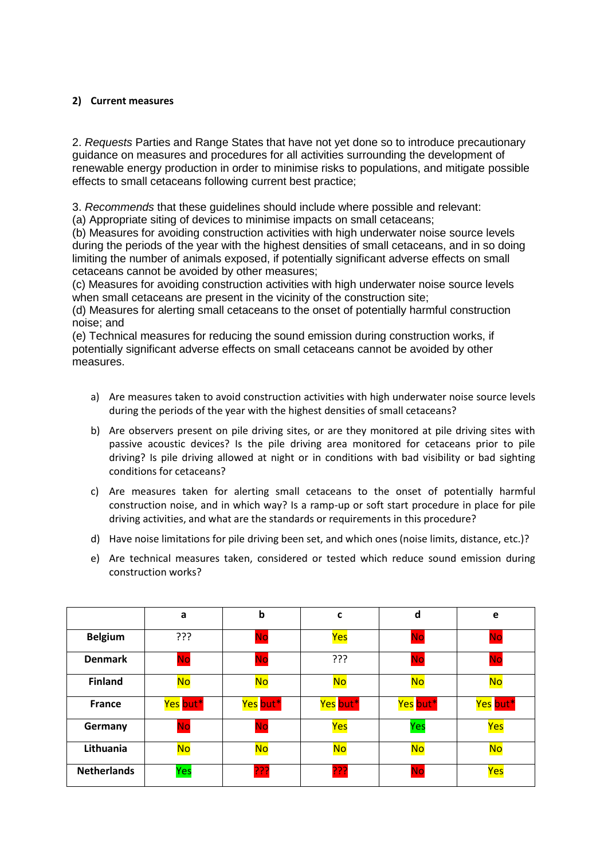### **2) Current measures**

2. *Requests* Parties and Range States that have not yet done so to introduce precautionary guidance on measures and procedures for all activities surrounding the development of renewable energy production in order to minimise risks to populations, and mitigate possible effects to small cetaceans following current best practice;

3. *Recommends* that these guidelines should include where possible and relevant:

(a) Appropriate siting of devices to minimise impacts on small cetaceans;

(b) Measures for avoiding construction activities with high underwater noise source levels during the periods of the year with the highest densities of small cetaceans, and in so doing limiting the number of animals exposed, if potentially significant adverse effects on small cetaceans cannot be avoided by other measures;

(c) Measures for avoiding construction activities with high underwater noise source levels when small cetaceans are present in the vicinity of the construction site;

(d) Measures for alerting small cetaceans to the onset of potentially harmful construction noise; and

(e) Technical measures for reducing the sound emission during construction works, if potentially significant adverse effects on small cetaceans cannot be avoided by other measures.

- a) Are measures taken to avoid construction activities with high underwater noise source levels during the periods of the year with the highest densities of small cetaceans?
- b) Are observers present on pile driving sites, or are they monitored at pile driving sites with passive acoustic devices? Is the pile driving area monitored for cetaceans prior to pile driving? Is pile driving allowed at night or in conditions with bad visibility or bad sighting conditions for cetaceans?
- c) Are measures taken for alerting small cetaceans to the onset of potentially harmful construction noise, and in which way? Is a ramp-up or soft start procedure in place for pile driving activities, and what are the standards or requirements in this procedure?
- d) Have noise limitations for pile driving been set, and which ones (noise limits, distance, etc.)?
- e) Are technical measures taken, considered or tested which reduce sound emission during construction works?

|                    | a               | b         | C                | d               | e                |
|--------------------|-----------------|-----------|------------------|-----------------|------------------|
| <b>Belgium</b>     | ???             | <b>No</b> | Yes              | <b>No</b>       | <b>No</b>        |
| <b>Denmark</b>     | <b>No</b>       | <b>No</b> | ???              | <b>No</b>       | <b>No</b>        |
| <b>Finland</b>     | <b>No</b>       | <b>No</b> | <b>No</b>        | <mark>No</mark> | <b>No</b>        |
| <b>France</b>      | Yes but*        | Yes but*  | Yes but*         | Yes but*        | Yes but*         |
| Germany            | <b>No</b>       | <b>No</b> | <mark>Yes</mark> | Yes             | <mark>Yes</mark> |
| Lithuania          | <mark>No</mark> | <b>No</b> | <b>No</b>        | <mark>No</mark> | <mark>No</mark>  |
| <b>Netherlands</b> | Yes             | 222       | ???              | <b>No</b>       | Yes              |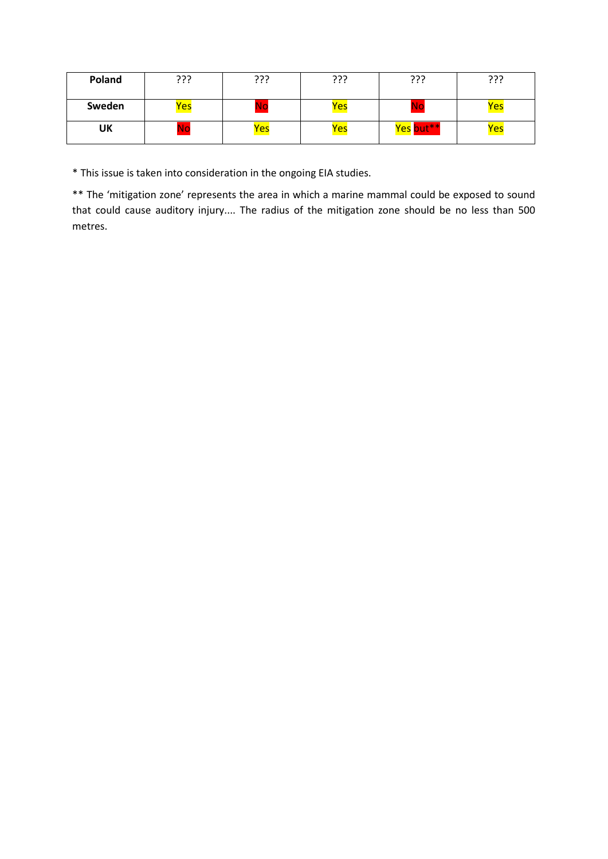<span id="page-28-0"></span>

| Poland | כככ<br>: : : | ววว<br>.   | ??? | ???                     | כככ<br>r r r |
|--------|--------------|------------|-----|-------------------------|--------------|
| Sweden | Yes          | INU        | Yes | <b>NO</b>               | <u>Yes</u>   |
| UK     | VU.          | <b>Yes</b> | Yes | $+ * *$<br><b>es</b> bu | Yes          |

\* This issue is taken into consideration in the ongoing EIA studies.

\*\* The 'mitigation zone' represents the area in which a marine mammal could be exposed to sound that could cause auditory injury.... The radius of the mitigation zone should be no less than 500 metres.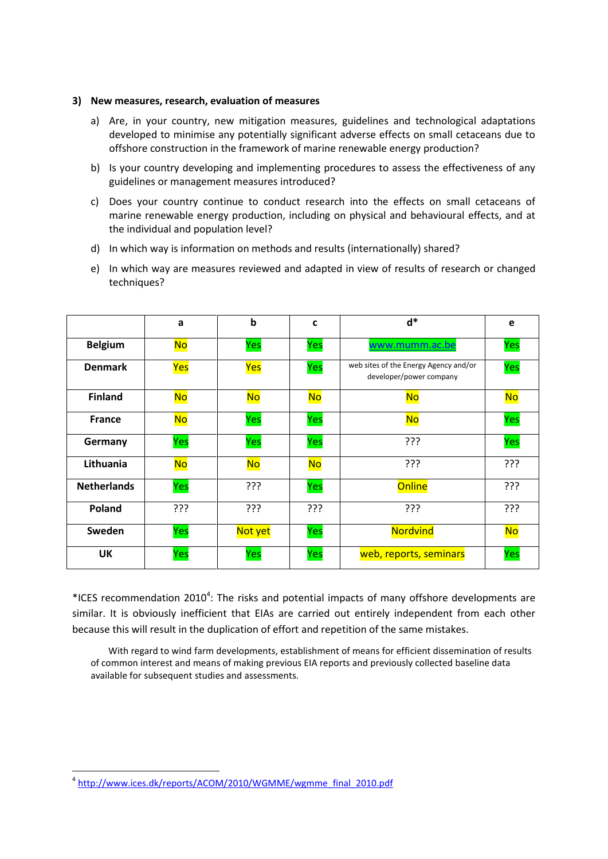### **3) New measures, research, evaluation of measures**

- a) Are, in your country, new mitigation measures, guidelines and technological adaptations developed to minimise any potentially significant adverse effects on small cetaceans due to offshore construction in the framework of marine renewable energy production?
- b) Is your country developing and implementing procedures to assess the effectiveness of any guidelines or management measures introduced?
- c) Does your country continue to conduct research into the effects on small cetaceans of marine renewable energy production, including on physical and behavioural effects, and at the individual and population level?
- d) In which way is information on methods and results (internationally) shared?
- e) In which way are measures reviewed and adapted in view of results of research or changed techniques?

|                    | a         | b         | $\mathbf c$ | $d^*$                                                            | e         |
|--------------------|-----------|-----------|-------------|------------------------------------------------------------------|-----------|
| <b>Belgium</b>     | <b>No</b> | Yes       | Yes         | www.mumm.ac.be                                                   | Yes       |
| <b>Denmark</b>     | Yes       | Yes       | Yes         | web sites of the Energy Agency and/or<br>developer/power company | Yes       |
| <b>Finland</b>     | <b>No</b> | <b>No</b> | <b>No</b>   | <b>No</b>                                                        | <b>No</b> |
| <b>France</b>      | <b>No</b> | Yes       | Yes         | <b>No</b>                                                        | Yes       |
| Germany            | Yes       | Yes       | Yes         | ???                                                              | Yes       |
| Lithuania          | <b>No</b> | <b>No</b> | <b>No</b>   | ???                                                              | ???       |
| <b>Netherlands</b> | Yes       | ???       | Yes         | <b>Online</b>                                                    | ???       |
| Poland             | ???       | ???       | ַרְרְךָ     | ???                                                              | ???       |
| Sweden             | Yes       | Not yet   | Yes         | <b>Nordvind</b>                                                  | <b>No</b> |
| <b>UK</b>          | Yes       | Yes       | Yes         | web, reports, seminars                                           | Yes       |

\*ICES recommendation 2010<sup>4</sup>: The risks and potential impacts of many offshore developments are similar. It is obviously inefficient that EIAs are carried out entirely independent from each other because this will result in the duplication of effort and repetition of the same mistakes.

With regard to wind farm developments, establishment of means for efficient dissemination of results of common interest and means of making previous EIA reports and previously collected baseline data available for subsequent studies and assessments.

**.** 

<sup>&</sup>lt;sup>4</sup> [http://www.ices.dk/reports/ACOM/2010/WGMME/wgmme\\_final\\_2010.pdf](http://www.ices.dk/reports/ACOM/2010/WGMME/wgmme_final_2010.pdf)